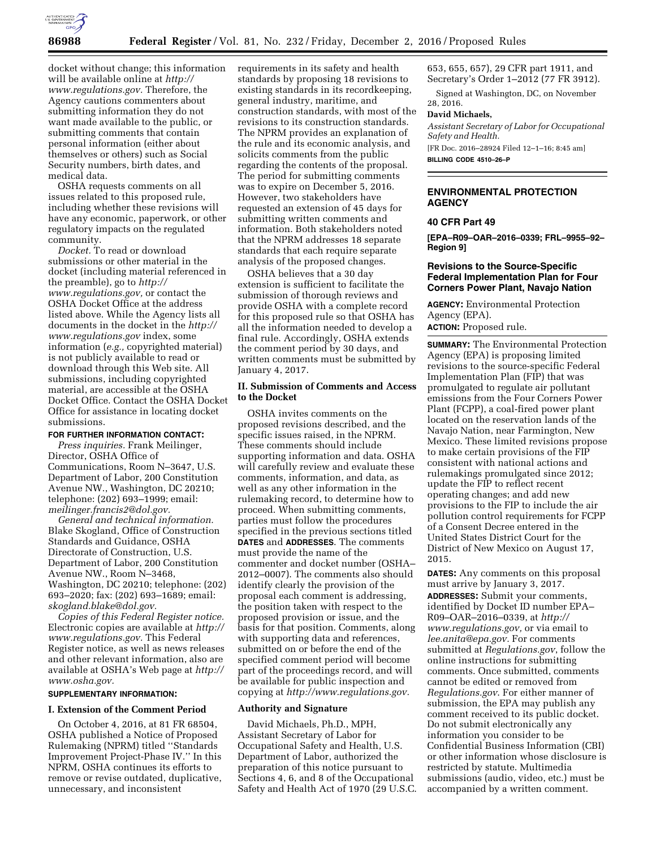

docket without change; this information will be available online at *http:// www.regulations.gov.* Therefore, the Agency cautions commenters about submitting information they do not want made available to the public, or submitting comments that contain personal information (either about themselves or others) such as Social Security numbers, birth dates, and medical data.

OSHA requests comments on all issues related to this proposed rule, including whether these revisions will have any economic, paperwork, or other regulatory impacts on the regulated community.

*Docket.* To read or download submissions or other material in the docket (including material referenced in the preamble), go to *http:// www.regulations.gov,* or contact the OSHA Docket Office at the address listed above. While the Agency lists all documents in the docket in the *http:// www.regulations.gov* index, some information (*e.g.,* copyrighted material) is not publicly available to read or download through this Web site. All submissions, including copyrighted material, are accessible at the OSHA Docket Office. Contact the OSHA Docket Office for assistance in locating docket submissions.

#### **FOR FURTHER INFORMATION CONTACT:**

*Press inquiries.* Frank Meilinger, Director, OSHA Office of Communications, Room N–3647, U.S. Department of Labor, 200 Constitution Avenue NW., Washington, DC 20210; telephone: (202) 693–1999; email: *meilinger.francis2@dol.gov.* 

*General and technical information.*  Blake Skogland, Office of Construction Standards and Guidance, OSHA Directorate of Construction, U.S. Department of Labor, 200 Constitution Avenue NW., Room N–3468, Washington, DC 20210; telephone: (202) 693–2020; fax: (202) 693–1689; email: *skogland.blake@dol.gov.* 

*Copies of this Federal Register notice.*  Electronic copies are available at *http:// www.regulations.gov.* This Federal Register notice, as well as news releases and other relevant information, also are available at OSHA's Web page at *http:// www.osha.gov.* 

## **SUPPLEMENTARY INFORMATION:**

#### **I. Extension of the Comment Period**

On October 4, 2016, at 81 FR 68504, OSHA published a Notice of Proposed Rulemaking (NPRM) titled ''Standards Improvement Project-Phase IV.'' In this NPRM, OSHA continues its efforts to remove or revise outdated, duplicative, unnecessary, and inconsistent

requirements in its safety and health standards by proposing 18 revisions to existing standards in its recordkeeping, general industry, maritime, and construction standards, with most of the revisions to its construction standards. The NPRM provides an explanation of the rule and its economic analysis, and solicits comments from the public regarding the contents of the proposal. The period for submitting comments was to expire on December 5, 2016. However, two stakeholders have requested an extension of 45 days for submitting written comments and information. Both stakeholders noted that the NPRM addresses 18 separate standards that each require separate analysis of the proposed changes.

OSHA believes that a 30 day extension is sufficient to facilitate the submission of thorough reviews and provide OSHA with a complete record for this proposed rule so that OSHA has all the information needed to develop a final rule. Accordingly, OSHA extends the comment period by 30 days, and written comments must be submitted by January 4, 2017.

## **II. Submission of Comments and Access to the Docket**

OSHA invites comments on the proposed revisions described, and the specific issues raised, in the NPRM. These comments should include supporting information and data. OSHA will carefully review and evaluate these comments, information, and data, as well as any other information in the rulemaking record, to determine how to proceed. When submitting comments, parties must follow the procedures specified in the previous sections titled **DATES** and **ADDRESSES**. The comments must provide the name of the commenter and docket number (OSHA– 2012–0007). The comments also should identify clearly the provision of the proposal each comment is addressing, the position taken with respect to the proposed provision or issue, and the basis for that position. Comments, along with supporting data and references, submitted on or before the end of the specified comment period will become part of the proceedings record, and will be available for public inspection and copying at *http://www.regulations.gov.* 

## **Authority and Signature**

David Michaels, Ph.D., MPH, Assistant Secretary of Labor for Occupational Safety and Health, U.S. Department of Labor, authorized the preparation of this notice pursuant to Sections 4, 6, and 8 of the Occupational Safety and Health Act of 1970 (29 U.S.C. 653, 655, 657), 29 CFR part 1911, and Secretary's Order 1–2012 (77 FR 3912).

Signed at Washington, DC, on November 28, 2016.

# **David Michaels,**

*Assistant Secretary of Labor for Occupational Safety and Health.*  [FR Doc. 2016–28924 Filed 12–1–16; 8:45 am]

**BILLING CODE 4510–26–P** 

## **ENVIRONMENTAL PROTECTION AGENCY**

# **40 CFR Part 49**

**[EPA–R09–OAR–2016–0339; FRL–9955–92– Region 9]** 

## **Revisions to the Source-Specific Federal Implementation Plan for Four Corners Power Plant, Navajo Nation**

**AGENCY:** Environmental Protection Agency (EPA). **ACTION:** Proposed rule.

**SUMMARY:** The Environmental Protection Agency (EPA) is proposing limited revisions to the source-specific Federal Implementation Plan (FIP) that was promulgated to regulate air pollutant emissions from the Four Corners Power Plant (FCPP), a coal-fired power plant located on the reservation lands of the Navajo Nation, near Farmington, New Mexico. These limited revisions propose to make certain provisions of the FIP consistent with national actions and rulemakings promulgated since 2012; update the FIP to reflect recent operating changes; and add new provisions to the FIP to include the air pollution control requirements for FCPP of a Consent Decree entered in the United States District Court for the District of New Mexico on August 17, 2015.

**DATES:** Any comments on this proposal must arrive by January 3, 2017. **ADDRESSES:** Submit your comments, identified by Docket ID number EPA– R09–OAR–2016–0339, at *http:// www.regulations.gov,* or via email to *lee.anita@epa.gov.* For comments submitted at *Regulations.gov*, follow the online instructions for submitting comments. Once submitted, comments cannot be edited or removed from *Regulations.gov*. For either manner of submission, the EPA may publish any comment received to its public docket. Do not submit electronically any information you consider to be Confidential Business Information (CBI) or other information whose disclosure is restricted by statute. Multimedia submissions (audio, video, etc.) must be accompanied by a written comment.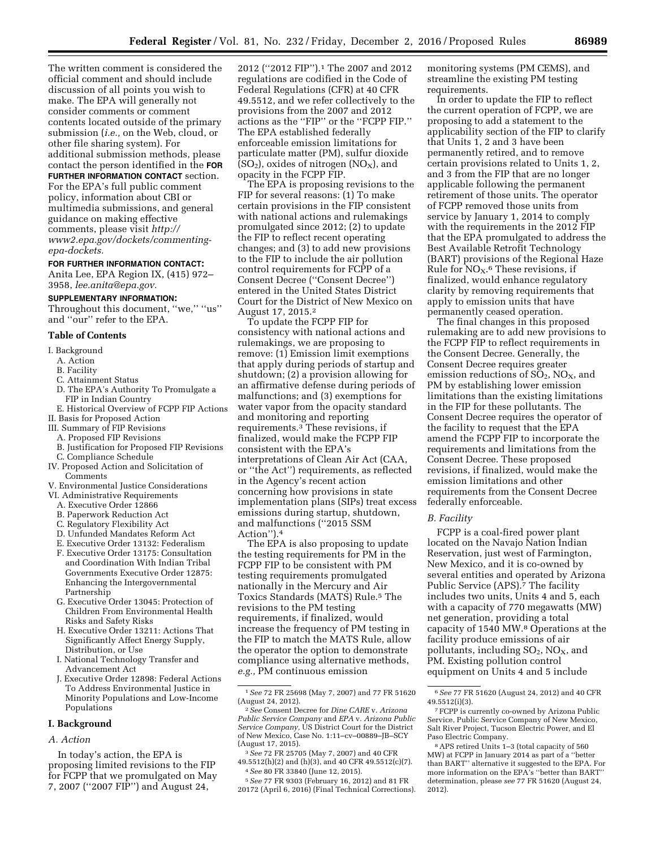The written comment is considered the official comment and should include discussion of all points you wish to make. The EPA will generally not consider comments or comment contents located outside of the primary submission (*i.e.,* on the Web, cloud, or other file sharing system). For additional submission methods, please contact the person identified in the **FOR FURTHER INFORMATION CONTACT** section. For the EPA's full public comment policy, information about CBI or multimedia submissions, and general guidance on making effective

comments, please visit *http:// www2.epa.gov/dockets/commentingepa-dockets.* 

## **FOR FURTHER INFORMATION CONTACT:**

Anita Lee, EPA Region IX, (415) 972– 3958, *lee.anita@epa.gov.* 

#### **SUPPLEMENTARY INFORMATION:**

Throughout this document, "we," "us" and ''our'' refer to the EPA.

#### **Table of Contents**

- I. Background
	- A. Action
	-
	- B. Facility
	- C. Attainment Status
	- D. The EPA's Authority To Promulgate a FIP in Indian Country
- E. Historical Overview of FCPP FIP Actions II. Basis for Proposed Action
- III. Summary of FIP Revisions
- A. Proposed FIP Revisions
- B. Justification for Proposed FIP Revisions
- C. Compliance Schedule
- IV. Proposed Action and Solicitation of **Comments**
- V. Environmental Justice Considerations
- VI. Administrative Requirements
	- A. Executive Order 12866
	- B. Paperwork Reduction Act
	- C. Regulatory Flexibility Act
	- D. Unfunded Mandates Reform Act
	- E. Executive Order 13132: Federalism F. Executive Order 13175: Consultation and Coordination With Indian Tribal Governments Executive Order 12875: Enhancing the Intergovernmental Partnership
	- G. Executive Order 13045: Protection of Children From Environmental Health Risks and Safety Risks
	- H. Executive Order 13211: Actions That Significantly Affect Energy Supply, Distribution, or Use
	- I. National Technology Transfer and Advancement Act
	- J. Executive Order 12898: Federal Actions To Address Environmental Justice in Minority Populations and Low-Income Populations

## **I. Background**

#### *A. Action*

In today's action, the EPA is proposing limited revisions to the FIP for FCPP that we promulgated on May 7, 2007 (''2007 FIP'') and August 24,

2012 (''2012 FIP'').1 The 2007 and 2012 regulations are codified in the Code of Federal Regulations (CFR) at 40 CFR 49.5512, and we refer collectively to the provisions from the 2007 and 2012 actions as the ''FIP'' or the ''FCPP FIP.'' The EPA established federally enforceable emission limitations for particulate matter (PM), sulfur dioxide  $(SO<sub>2</sub>)$ , oxides of nitrogen  $(NO<sub>X</sub>)$ , and opacity in the FCPP FIP.

The EPA is proposing revisions to the FIP for several reasons: (1) To make certain provisions in the FIP consistent with national actions and rulemakings promulgated since 2012; (2) to update the FIP to reflect recent operating changes; and (3) to add new provisions to the FIP to include the air pollution control requirements for FCPP of a Consent Decree (''Consent Decree'') entered in the United States District Court for the District of New Mexico on August 17, 2015.2

To update the FCPP FIP for consistency with national actions and rulemakings, we are proposing to remove: (1) Emission limit exemptions that apply during periods of startup and shutdown; (2) a provision allowing for an affirmative defense during periods of malfunctions; and (3) exemptions for water vapor from the opacity standard and monitoring and reporting requirements.3 These revisions, if finalized, would make the FCPP FIP consistent with the EPA's interpretations of Clean Air Act (CAA, or ''the Act'') requirements, as reflected in the Agency's recent action concerning how provisions in state implementation plans (SIPs) treat excess emissions during startup, shutdown, and malfunctions (''2015 SSM Action'').4

The EPA is also proposing to update the testing requirements for PM in the FCPP FIP to be consistent with PM testing requirements promulgated nationally in the Mercury and Air Toxics Standards (MATS) Rule.5 The revisions to the PM testing requirements, if finalized, would increase the frequency of PM testing in the FIP to match the MATS Rule, allow the operator the option to demonstrate compliance using alternative methods, *e.g.,* PM continuous emission

- 3*See* 72 FR 25705 (May 7, 2007) and 40 CFR 49.5512(h)(2) and (h)(3), and 40 CFR 49.5512(c)(7).
- 4*See* 80 FR 33840 (June 12, 2015).

5*See* 77 FR 9303 (February 16, 2012) and 81 FR 20172 (April 6, 2016) (Final Technical Corrections). monitoring systems (PM CEMS), and streamline the existing PM testing requirements.

In order to update the FIP to reflect the current operation of FCPP, we are proposing to add a statement to the applicability section of the FIP to clarify that Units 1, 2 and 3 have been permanently retired, and to remove certain provisions related to Units 1, 2, and 3 from the FIP that are no longer applicable following the permanent retirement of those units. The operator of FCPP removed those units from service by January 1, 2014 to comply with the requirements in the 2012 FIP that the EPA promulgated to address the Best Available Retrofit Technology (BART) provisions of the Regional Haze Rule for  $NO<sub>X</sub>$ .<sup>6</sup> These revisions, if finalized, would enhance regulatory clarity by removing requirements that apply to emission units that have permanently ceased operation.

The final changes in this proposed rulemaking are to add new provisions to the FCPP FIP to reflect requirements in the Consent Decree. Generally, the Consent Decree requires greater emission reductions of  $SO_2$ ,  $NO<sub>X</sub>$ , and PM by establishing lower emission limitations than the existing limitations in the FIP for these pollutants. The Consent Decree requires the operator of the facility to request that the EPA amend the FCPP FIP to incorporate the requirements and limitations from the Consent Decree. These proposed revisions, if finalized, would make the emission limitations and other requirements from the Consent Decree federally enforceable.

## *B. Facility*

FCPP is a coal-fired power plant located on the Navajo Nation Indian Reservation, just west of Farmington, New Mexico, and it is co-owned by several entities and operated by Arizona Public Service (APS).<sup>7</sup> The facility includes two units, Units 4 and 5, each with a capacity of 770 megawatts (MW) net generation, providing a total capacity of 1540 MW.8 Operations at the facility produce emissions of air pollutants, including  $SO_2$ ,  $NO_X$ , and PM. Existing pollution control equipment on Units 4 and 5 include

<sup>1</sup>*See* 72 FR 25698 (May 7, 2007) and 77 FR 51620

<sup>(</sup>August 24, 2012). 2*See* Consent Decree for *Dine CARE* v. *Arizona Public Service Company* and *EPA* v. *Arizona Public Service Company,* US District Court for the District of New Mexico, Case No. 1:11–cv–00889–JB–SCY (August 17, 2015).

<sup>6</sup>*See* 77 FR 51620 (August 24, 2012) and 40 CFR 49.5512(i)(3).

<sup>7</sup>FCPP is currently co-owned by Arizona Public Service, Public Service Company of New Mexico, Salt River Project, Tucson Electric Power, and El Paso Electric Company.

<sup>8</sup>APS retired Units 1–3 (total capacity of 560 MW) at FCPP in January 2014 as part of a ''better than BART'' alternative it suggested to the EPA. For more information on the EPA's ''better than BART'' determination, please *see* 77 FR 51620 (August 24, 2012).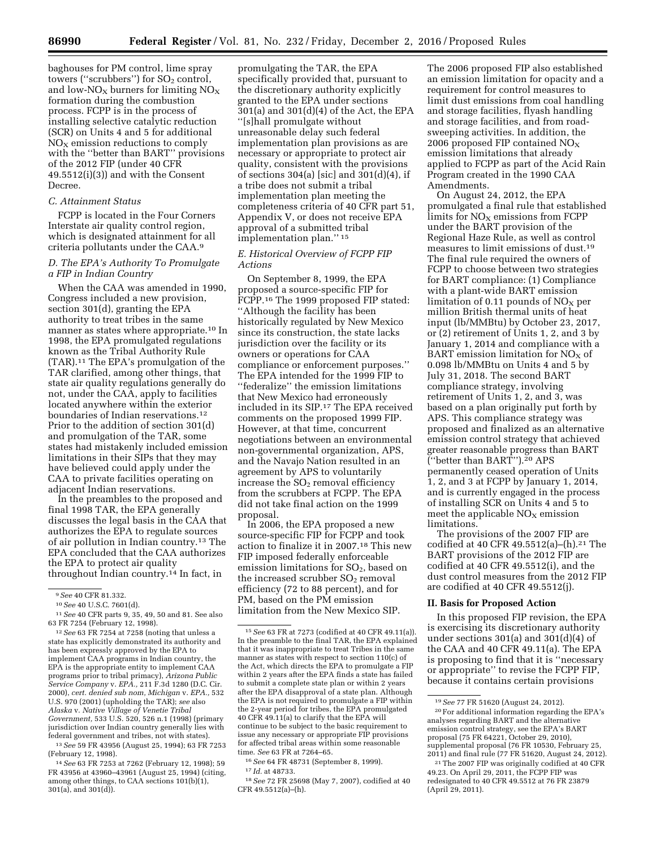baghouses for PM control, lime spray towers ("scrubbers") for  $SO<sub>2</sub>$  control, and low- $N_{\text{O}_X}$  burners for limiting  $N_{\text{O}_X}$ formation during the combustion process. FCPP is in the process of installing selective catalytic reduction (SCR) on Units 4 and 5 for additional  $NO<sub>X</sub>$  emission reductions to comply with the ''better than BART'' provisions of the 2012 FIP (under 40 CFR 49.5512(i)(3)) and with the Consent Decree.

## *C. Attainment Status*

FCPP is located in the Four Corners Interstate air quality control region, which is designated attainment for all criteria pollutants under the CAA.9

## *D. The EPA's Authority To Promulgate a FIP in Indian Country*

When the CAA was amended in 1990, Congress included a new provision, section 301(d), granting the EPA authority to treat tribes in the same manner as states where appropriate.<sup>10</sup> In 1998, the EPA promulgated regulations known as the Tribal Authority Rule (TAR).11 The EPA's promulgation of the TAR clarified, among other things, that state air quality regulations generally do not, under the CAA, apply to facilities located anywhere within the exterior boundaries of Indian reservations.<sup>12</sup> Prior to the addition of section 301(d) and promulgation of the TAR, some states had mistakenly included emission limitations in their SIPs that they may have believed could apply under the CAA to private facilities operating on adjacent Indian reservations.

In the preambles to the proposed and final 1998 TAR, the EPA generally discusses the legal basis in the CAA that authorizes the EPA to regulate sources of air pollution in Indian country.13 The EPA concluded that the CAA authorizes the EPA to protect air quality throughout Indian country.14 In fact, in

13*See* 59 FR 43956 (August 25, 1994); 63 FR 7253 (February 12, 1998).

14*See* 63 FR 7253 at 7262 (February 12, 1998); 59 FR 43956 at 43960–43961 (August 25, 1994) (citing, among other things, to CAA sections 101(b)(1),  $301(a)$ , and  $301(d)$ ).

promulgating the TAR, the EPA specifically provided that, pursuant to the discretionary authority explicitly granted to the EPA under sections 301(a) and 301(d)(4) of the Act, the EPA ''[s]hall promulgate without unreasonable delay such federal implementation plan provisions as are necessary or appropriate to protect air quality, consistent with the provisions of sections  $304(a)$  [sic] and  $301(d)(4)$ , if a tribe does not submit a tribal implementation plan meeting the completeness criteria of 40 CFR part 51, Appendix V, or does not receive EPA approval of a submitted tribal implementation plan.'' 15

## *E. Historical Overview of FCPP FIP Actions*

On September 8, 1999, the EPA proposed a source-specific FIP for FCPP.<sup>16</sup> The 1999 proposed FIP stated: ''Although the facility has been historically regulated by New Mexico since its construction, the state lacks jurisdiction over the facility or its owners or operations for CAA compliance or enforcement purposes.'' The EPA intended for the 1999 FIP to ''federalize'' the emission limitations that New Mexico had erroneously included in its SIP.17 The EPA received comments on the proposed 1999 FIP. However, at that time, concurrent negotiations between an environmental non-governmental organization, APS, and the Navajo Nation resulted in an agreement by APS to voluntarily increase the  $SO<sub>2</sub>$  removal efficiency from the scrubbers at FCPP. The EPA did not take final action on the 1999 proposal.

In 2006, the EPA proposed a new source-specific FIP for FCPP and took action to finalize it in 2007.18 This new FIP imposed federally enforceable emission limitations for  $SO<sub>2</sub>$ , based on the increased scrubber  $SO<sub>2</sub>$  removal efficiency (72 to 88 percent), and for PM, based on the PM emission limitation from the New Mexico SIP.

16*See* 64 FR 48731 (September 8, 1999).

17 *Id.* at 48733.

18*See* 72 FR 25698 (May 7, 2007), codified at 40 CFR 49.5512(a)–(h).

The 2006 proposed FIP also established an emission limitation for opacity and a requirement for control measures to limit dust emissions from coal handling and storage facilities, flyash handling and storage facilities, and from roadsweeping activities. In addition, the 2006 proposed FIP contained  $NO<sub>X</sub>$ emission limitations that already applied to FCPP as part of the Acid Rain Program created in the 1990 CAA Amendments.

On August 24, 2012, the EPA promulgated a final rule that established limits for  $NO<sub>x</sub>$  emissions from FCPP under the BART provision of the Regional Haze Rule, as well as control measures to limit emissions of dust.19 The final rule required the owners of FCPP to choose between two strategies for BART compliance: (1) Compliance with a plant-wide BART emission limitation of 0.11 pounds of  $NO<sub>x</sub>$  per million British thermal units of heat input (lb/MMBtu) by October 23, 2017, or (2) retirement of Units 1, 2, and 3 by January 1, 2014 and compliance with a BART emission limitation for  $NO<sub>X</sub>$  of 0.098 lb/MMBtu on Units 4 and 5 by July 31, 2018. The second BART compliance strategy, involving retirement of Units 1, 2, and 3, was based on a plan originally put forth by APS. This compliance strategy was proposed and finalized as an alternative emission control strategy that achieved greater reasonable progress than BART (''better than BART'').20 APS permanently ceased operation of Units 1, 2, and 3 at FCPP by January 1, 2014, and is currently engaged in the process of installing SCR on Units 4 and 5 to meet the applicable  $NO<sub>x</sub>$  emission limitations.

The provisions of the 2007 FIP are codified at 40 CFR 49.5512(a)–(h).21 The BART provisions of the 2012 FIP are codified at 40 CFR 49.5512(i), and the dust control measures from the 2012 FIP are codified at 40 CFR 49.5512(j).

## **II. Basis for Proposed Action**

In this proposed FIP revision, the EPA is exercising its discretionary authority under sections 301(a) and 301(d)(4) of the CAA and 40 CFR 49.11(a). The EPA is proposing to find that it is ''necessary or appropriate'' to revise the FCPP FIP, because it contains certain provisions

<sup>9</sup>*See* 40 CFR 81.332.

<sup>10</sup>*See* 40 U.S.C. 7601(d).

<sup>11</sup>*See* 40 CFR parts 9, 35, 49, 50 and 81. See also 63 FR 7254 (February 12, 1998).

<sup>12</sup>*See* 63 FR 7254 at 7258 (noting that unless a state has explicitly demonstrated its authority and has been expressly approved by the EPA to implement CAA programs in Indian country, the EPA is the appropriate entity to implement CAA programs prior to tribal primacy), *Arizona Public Service Company* v. *EPA.,* 211 F.3d 1280 (D.C. Cir. 2000), *cert. denied sub nom, Michigan* v. *EPA.,* 532 U.S. 970 (2001) (upholding the TAR); *see* also *Alaska* v. *Native Village of Venetie Tribal Government,* 533 U.S. 520, 526 n.1 (1998) (primary jurisdiction over Indian country generally lies with federal government and tribes, not with states).

<sup>15</sup>*See* 63 FR at 7273 (codified at 40 CFR 49.11(a)). In the preamble to the final TAR, the EPA explained that it was inappropriate to treat Tribes in the same manner as states with respect to section 110(c) of the Act, which directs the EPA to promulgate a FIP within 2 years after the EPA finds a state has failed to submit a complete state plan or within 2 years after the EPA disapproval of a state plan. Although the EPA is not required to promulgate a FIP within the 2-year period for tribes, the EPA promulgated 40 CFR 49.11(a) to clarify that the EPA will continue to be subject to the basic requirement to issue any necessary or appropriate FIP provisions for affected tribal areas within some reasonable time. *See* 63 FR at 7264–65.

<sup>19</sup>*See* 77 FR 51620 (August 24, 2012).  $^{\rm 20}\,$  For additional information regarding the EPA's analyses regarding BART and the alternative emission control strategy, see the EPA's BART proposal (75 FR 64221, October 29, 2010), supplemental proposal (76 FR 10530, February 25,

<sup>2011)</sup> and final rule (77 FR 51620, August 24, 2012). 21The 2007 FIP was originally codified at 40 CFR 49.23. On April 29, 2011, the FCPP FIP was redesignated to 40 CFR 49.5512 at 76 FR 23879 (April 29, 2011).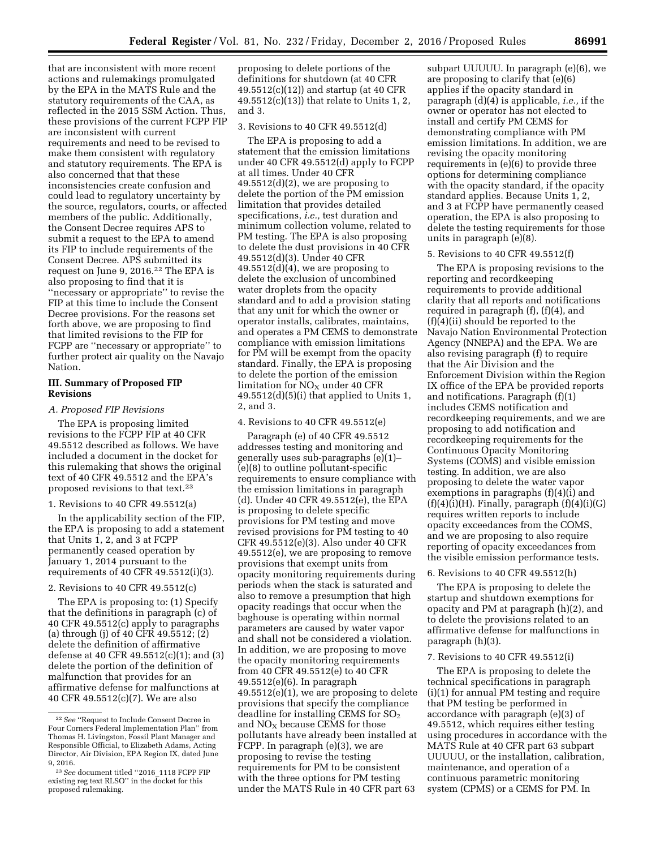that are inconsistent with more recent actions and rulemakings promulgated by the EPA in the MATS Rule and the statutory requirements of the CAA, as reflected in the 2015 SSM Action. Thus, these provisions of the current FCPP FIP are inconsistent with current requirements and need to be revised to make them consistent with regulatory and statutory requirements. The EPA is also concerned that that these inconsistencies create confusion and could lead to regulatory uncertainty by the source, regulators, courts, or affected members of the public. Additionally, the Consent Decree requires APS to submit a request to the EPA to amend its FIP to include requirements of the Consent Decree. APS submitted its request on June 9, 2016.22 The EPA is also proposing to find that it is ''necessary or appropriate'' to revise the FIP at this time to include the Consent Decree provisions. For the reasons set forth above, we are proposing to find that limited revisions to the FIP for FCPP are ''necessary or appropriate'' to further protect air quality on the Navajo Nation.

## **III. Summary of Proposed FIP Revisions**

#### *A. Proposed FIP Revisions*

The EPA is proposing limited revisions to the FCPP FIP at 40 CFR 49.5512 described as follows. We have included a document in the docket for this rulemaking that shows the original text of 40 CFR 49.5512 and the EPA's proposed revisions to that text.23

## 1. Revisions to 40 CFR 49.5512(a)

In the applicability section of the FIP, the EPA is proposing to add a statement that Units 1, 2, and 3 at FCPP permanently ceased operation by January 1, 2014 pursuant to the requirements of 40 CFR 49.5512(i)(3).

### 2. Revisions to 40 CFR 49.5512(c)

The EPA is proposing to: (1) Specify that the definitions in paragraph (c) of 40 CFR 49.5512(c) apply to paragraphs (a) through (j) of 40 CFR 49.5512; (2) delete the definition of affirmative defense at 40 CFR 49.5512(c)(1); and (3) delete the portion of the definition of malfunction that provides for an affirmative defense for malfunctions at 40 CFR 49.5512(c)(7). We are also

proposing to delete portions of the definitions for shutdown (at 40 CFR 49.5512(c)(12)) and startup (at 40 CFR 49.5512(c)(13)) that relate to Units 1, 2, and 3.

#### 3. Revisions to 40 CFR 49.5512(d)

The EPA is proposing to add a statement that the emission limitations under 40 CFR 49.5512(d) apply to FCPP at all times. Under 40 CFR  $49.5512(d)(2)$ , we are proposing to delete the portion of the PM emission limitation that provides detailed specifications, *i.e.,* test duration and minimum collection volume, related to PM testing. The EPA is also proposing to delete the dust provisions in 40 CFR 49.5512(d)(3). Under 40 CFR  $49.5512(d)(4)$ , we are proposing to delete the exclusion of uncombined water droplets from the opacity standard and to add a provision stating that any unit for which the owner or operator installs, calibrates, maintains, and operates a PM CEMS to demonstrate compliance with emission limitations for PM will be exempt from the opacity standard. Finally, the EPA is proposing to delete the portion of the emission limitation for  $NO<sub>X</sub>$  under 40 CFR  $49.5512(d)(5)(i)$  that applied to Units 1, 2, and 3.

## 4. Revisions to 40 CFR 49.5512(e)

Paragraph (e) of 40 CFR 49.5512 addresses testing and monitoring and generally uses sub-paragraphs (e)(1)– (e)(8) to outline pollutant-specific requirements to ensure compliance with the emission limitations in paragraph (d). Under 40 CFR 49.5512(e), the EPA is proposing to delete specific provisions for PM testing and move revised provisions for PM testing to 40 CFR 49.5512(e)(3). Also under 40 CFR 49.5512(e), we are proposing to remove provisions that exempt units from opacity monitoring requirements during periods when the stack is saturated and also to remove a presumption that high opacity readings that occur when the baghouse is operating within normal parameters are caused by water vapor and shall not be considered a violation. In addition, we are proposing to move the opacity monitoring requirements from 40 CFR 49.5512(e) to 40 CFR  $49.5512(e)(6)$ . In paragraph 49.5512(e)(1), we are proposing to delete provisions that specify the compliance deadline for installing CEMS for  $SO<sub>2</sub>$ and  $NO<sub>X</sub>$  because CEMS for those pollutants have already been installed at FCPP. In paragraph (e)(3), we are proposing to revise the testing requirements for PM to be consistent with the three options for PM testing under the MATS Rule in 40 CFR part 63

subpart UUUUU. In paragraph (e)(6), we are proposing to clarify that (e)(6) applies if the opacity standard in paragraph (d)(4) is applicable, *i.e.,* if the owner or operator has not elected to install and certify PM CEMS for demonstrating compliance with PM emission limitations. In addition, we are revising the opacity monitoring requirements in (e)(6) to provide three options for determining compliance with the opacity standard, if the opacity standard applies. Because Units 1, 2, and 3 at FCPP have permanently ceased operation, the EPA is also proposing to delete the testing requirements for those units in paragraph (e)(8).

#### 5. Revisions to 40 CFR 49.5512(f)

The EPA is proposing revisions to the reporting and recordkeeping requirements to provide additional clarity that all reports and notifications required in paragraph (f), (f)(4), and (f)(4)(ii) should be reported to the Navajo Nation Environmental Protection Agency (NNEPA) and the EPA. We are also revising paragraph (f) to require that the Air Division and the Enforcement Division within the Region IX office of the EPA be provided reports and notifications. Paragraph (f)(1) includes CEMS notification and recordkeeping requirements, and we are proposing to add notification and recordkeeping requirements for the Continuous Opacity Monitoring Systems (COMS) and visible emission testing. In addition, we are also proposing to delete the water vapor exemptions in paragraphs (f)(4)(i) and  $(f)(4)(i)(H)$ . Finally, paragraph  $(f)(4)(i)(G)$ requires written reports to include opacity exceedances from the COMS, and we are proposing to also require reporting of opacity exceedances from the visible emission performance tests.

#### 6. Revisions to 40 CFR 49.5512(h)

The EPA is proposing to delete the startup and shutdown exemptions for opacity and PM at paragraph (h)(2), and to delete the provisions related to an affirmative defense for malfunctions in paragraph (h)(3).

## 7. Revisions to 40 CFR 49.5512(i)

The EPA is proposing to delete the technical specifications in paragraph (i)(1) for annual PM testing and require that PM testing be performed in accordance with paragraph (e)(3) of 49.5512, which requires either testing using procedures in accordance with the MATS Rule at 40 CFR part 63 subpart UUUUU, or the installation, calibration, maintenance, and operation of a continuous parametric monitoring system (CPMS) or a CEMS for PM. In

<sup>22</sup>*See* ''Request to Include Consent Decree in Four Corners Federal Implementation Plan'' from Thomas H. Livingston, Fossil Plant Manager and Responsible Official, to Elizabeth Adams, Acting Director, Air Division, EPA Region IX, dated June 9, 2016.

<sup>23</sup>*See* document titled ''2016\_1118 FCPP FIP existing reg text RLSO'' in the docket for this proposed rulemaking.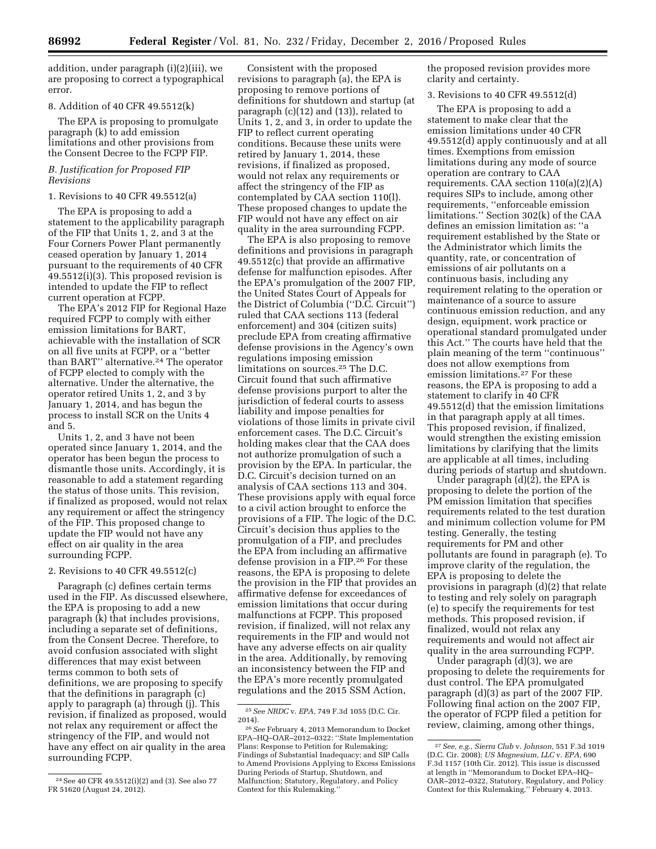addition, under paragraph (i)(2)(iii), we are proposing to correct a typographical error.

## 8. Addition of 40 CFR 49.5512(k)

The EPA is proposing to promulgate paragraph (k) to add emission limitations and other provisions from the Consent Decree to the FCPP FIP.

## *B. Justification for Proposed FIP Revisions*

#### 1. Revisions to 40 CFR 49.5512(a)

The EPA is proposing to add a statement to the applicability paragraph of the FIP that Units 1, 2, and 3 at the Four Corners Power Plant permanently ceased operation by January 1, 2014 pursuant to the requirements of 40 CFR 49.5512(i)(3). This proposed revision is intended to update the FIP to reflect current operation at FCPP.

The EPA's 2012 FIP for Regional Haze required FCPP to comply with either emission limitations for BART, achievable with the installation of SCR on all five units at FCPP, or a ''better than BART'' alternative.24 The operator of FCPP elected to comply with the alternative. Under the alternative, the operator retired Units 1, 2, and 3 by January 1, 2014, and has begun the process to install SCR on the Units 4 and 5.

Units 1, 2, and 3 have not been operated since January 1, 2014, and the operator has been begun the process to dismantle those units. Accordingly, it is reasonable to add a statement regarding the status of those units. This revision, if finalized as proposed, would not relax any requirement or affect the stringency of the FIP. This proposed change to update the FIP would not have any effect on air quality in the area surrounding FCPP.

#### 2. Revisions to 40 CFR 49.5512(c)

Paragraph (c) defines certain terms used in the FIP. As discussed elsewhere, the EPA is proposing to add a new paragraph (k) that includes provisions, including a separate set of definitions, from the Consent Decree. Therefore, to avoid confusion associated with slight differences that may exist between terms common to both sets of definitions, we are proposing to specify that the definitions in paragraph (c) apply to paragraph (a) through (j). This revision, if finalized as proposed, would not relax any requirement or affect the stringency of the FIP, and would not have any effect on air quality in the area surrounding FCPP.

Consistent with the proposed revisions to paragraph (a), the EPA is proposing to remove portions of definitions for shutdown and startup (at paragraph (c)(12) and (13)), related to Units 1, 2, and 3, in order to update the FIP to reflect current operating conditions. Because these units were retired by January 1, 2014, these revisions, if finalized as proposed, would not relax any requirements or affect the stringency of the FIP as contemplated by CAA section 110(l). These proposed changes to update the FIP would not have any effect on air quality in the area surrounding FCPP.

The EPA is also proposing to remove definitions and provisions in paragraph 49.5512(c) that provide an affirmative defense for malfunction episodes. After the EPA's promulgation of the 2007 FIP, the United States Court of Appeals for the District of Columbia (''D.C. Circuit'') ruled that CAA sections 113 (federal enforcement) and 304 (citizen suits) preclude EPA from creating affirmative defense provisions in the Agency's own regulations imposing emission limitations on sources.25 The D.C. Circuit found that such affirmative defense provisions purport to alter the jurisdiction of federal courts to assess liability and impose penalties for violations of those limits in private civil enforcement cases. The D.C. Circuit's holding makes clear that the CAA does not authorize promulgation of such a provision by the EPA. In particular, the D.C. Circuit's decision turned on an analysis of CAA sections 113 and 304. These provisions apply with equal force to a civil action brought to enforce the provisions of a FIP. The logic of the D.C. Circuit's decision thus applies to the promulgation of a FIP, and precludes the EPA from including an affirmative defense provision in a FIP.26 For these reasons, the EPA is proposing to delete the provision in the FIP that provides an affirmative defense for exceedances of emission limitations that occur during malfunctions at FCPP. This proposed revision, if finalized, will not relax any requirements in the FIP and would not have any adverse effects on air quality in the area. Additionally, by removing an inconsistency between the FIP and the EPA's more recently promulgated regulations and the 2015 SSM Action,

the proposed revision provides more clarity and certainty.

## 3. Revisions to 40 CFR 49.5512(d)

The EPA is proposing to add a statement to make clear that the emission limitations under 40 CFR 49.5512(d) apply continuously and at all times. Exemptions from emission limitations during any mode of source operation are contrary to CAA requirements. CAA section 110(a)(2)(A) requires SIPs to include, among other requirements, ''enforceable emission limitations.'' Section 302(k) of the CAA defines an emission limitation as: ''a requirement established by the State or the Administrator which limits the quantity, rate, or concentration of emissions of air pollutants on a continuous basis, including any requirement relating to the operation or maintenance of a source to assure continuous emission reduction, and any design, equipment, work practice or operational standard promulgated under this Act.'' The courts have held that the plain meaning of the term ''continuous'' does not allow exemptions from emission limitations.27 For these reasons, the EPA is proposing to add a statement to clarify in 40 CFR 49.5512(d) that the emission limitations in that paragraph apply at all times. This proposed revision, if finalized, would strengthen the existing emission limitations by clarifying that the limits are applicable at all times, including during periods of startup and shutdown.

Under paragraph (d)(2), the EPA is proposing to delete the portion of the PM emission limitation that specifies requirements related to the test duration and minimum collection volume for PM testing. Generally, the testing requirements for PM and other pollutants are found in paragraph (e). To improve clarity of the regulation, the EPA is proposing to delete the provisions in paragraph (d)(2) that relate to testing and rely solely on paragraph (e) to specify the requirements for test methods. This proposed revision, if finalized, would not relax any requirements and would not affect air quality in the area surrounding FCPP.

Under paragraph (d)(3), we are proposing to delete the requirements for dust control. The EPA promulgated paragraph (d)(3) as part of the 2007 FIP. Following final action on the 2007 FIP, the operator of FCPP filed a petition for review, claiming, among other things,

<sup>24</sup>See 40 CFR 49.5512(i)(2) and (3). See also 77 FR 51620 (August 24, 2012).

<sup>25</sup>*See NRDC* v. *EPA,* 749 F.3d 1055 (D.C. Cir. 2014).

<sup>26</sup>*See* February 4, 2013 Memorandum to Docket EPA–HQ–OAR–2012–0322: ''State Implementation Plans: Response to Petition for Rulemaking; Findings of Substantial Inadequacy; and SIP Calls to Amend Provisions Applying to Excess Emissions During Periods of Startup, Shutdown, and Malfunction; Statutory, Regulatory, and Policy Context for this Rulemaking.''

<sup>27</sup>*See, e.g., Sierra Club* v. *Johnson,* 551 F.3d 1019 (D.C. Cir. 2008); *US Magnesium, LLC* v. *EPA,* 690 F.3d 1157 (10th Cir. 2012). This issue is discussed at length in ''Memorandum to Docket EPA–HQ– OAR–2012–0322, Statutory, Regulatory, and Policy Context for this Rulemaking,'' February 4, 2013.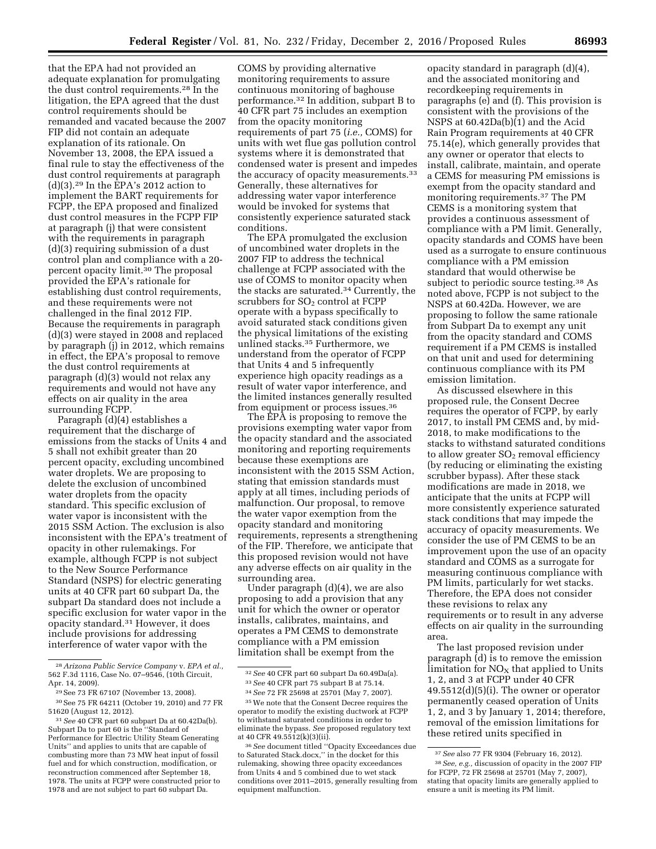that the EPA had not provided an adequate explanation for promulgating the dust control requirements.28 In the litigation, the EPA agreed that the dust control requirements should be remanded and vacated because the 2007 FIP did not contain an adequate explanation of its rationale. On November 13, 2008, the EPA issued a final rule to stay the effectiveness of the dust control requirements at paragraph  $(d)(3).<sup>29</sup>$  In the EPA's 2012 action to implement the BART requirements for FCPP, the EPA proposed and finalized dust control measures in the FCPP FIP at paragraph (j) that were consistent with the requirements in paragraph (d)(3) requiring submission of a dust control plan and compliance with a 20 percent opacity limit.<sup>30</sup> The proposal provided the EPA's rationale for establishing dust control requirements, and these requirements were not challenged in the final 2012 FIP. Because the requirements in paragraph (d)(3) were stayed in 2008 and replaced by paragraph (j) in 2012, which remains in effect, the EPA's proposal to remove the dust control requirements at paragraph (d)(3) would not relax any requirements and would not have any effects on air quality in the area surrounding FCPP.

Paragraph (d)(4) establishes a requirement that the discharge of emissions from the stacks of Units 4 and 5 shall not exhibit greater than 20 percent opacity, excluding uncombined water droplets. We are proposing to delete the exclusion of uncombined water droplets from the opacity standard. This specific exclusion of water vapor is inconsistent with the 2015 SSM Action. The exclusion is also inconsistent with the EPA's treatment of opacity in other rulemakings. For example, although FCPP is not subject to the New Source Performance Standard (NSPS) for electric generating units at 40 CFR part 60 subpart Da, the subpart Da standard does not include a specific exclusion for water vapor in the opacity standard.31 However, it does include provisions for addressing interference of water vapor with the

COMS by providing alternative monitoring requirements to assure continuous monitoring of baghouse performance.32 In addition, subpart B to 40 CFR part 75 includes an exemption from the opacity monitoring requirements of part 75 (*i.e.,* COMS) for units with wet flue gas pollution control systems where it is demonstrated that condensed water is present and impedes the accuracy of opacity measurements.<sup>33</sup> Generally, these alternatives for addressing water vapor interference would be invoked for systems that consistently experience saturated stack conditions.

The EPA promulgated the exclusion of uncombined water droplets in the 2007 FIP to address the technical challenge at FCPP associated with the use of COMS to monitor opacity when the stacks are saturated.34 Currently, the scrubbers for  $SO<sub>2</sub>$  control at FCPP operate with a bypass specifically to avoid saturated stack conditions given the physical limitations of the existing unlined stacks.35 Furthermore, we understand from the operator of FCPP that Units 4 and 5 infrequently experience high opacity readings as a result of water vapor interference, and the limited instances generally resulted from equipment or process issues.36

The EPA is proposing to remove the provisions exempting water vapor from the opacity standard and the associated monitoring and reporting requirements because these exemptions are inconsistent with the 2015 SSM Action, stating that emission standards must apply at all times, including periods of malfunction. Our proposal, to remove the water vapor exemption from the opacity standard and monitoring requirements, represents a strengthening of the FIP. Therefore, we anticipate that this proposed revision would not have any adverse effects on air quality in the surrounding area.

Under paragraph (d)(4), we are also proposing to add a provision that any unit for which the owner or operator installs, calibrates, maintains, and operates a PM CEMS to demonstrate compliance with a PM emission limitation shall be exempt from the

opacity standard in paragraph (d)(4), and the associated monitoring and recordkeeping requirements in paragraphs (e) and (f). This provision is consistent with the provisions of the NSPS at  $60.42Da(b)$  $(1)$  and the Acid Rain Program requirements at 40 CFR 75.14(e), which generally provides that any owner or operator that elects to install, calibrate, maintain, and operate a CEMS for measuring PM emissions is exempt from the opacity standard and monitoring requirements.37 The PM CEMS is a monitoring system that provides a continuous assessment of compliance with a PM limit. Generally, opacity standards and COMS have been used as a surrogate to ensure continuous compliance with a PM emission standard that would otherwise be subject to periodic source testing.38 As noted above, FCPP is not subject to the NSPS at 60.42Da. However, we are proposing to follow the same rationale from Subpart Da to exempt any unit from the opacity standard and COMS requirement if a PM CEMS is installed on that unit and used for determining continuous compliance with its PM emission limitation.

As discussed elsewhere in this proposed rule, the Consent Decree requires the operator of FCPP, by early 2017, to install PM CEMS and, by mid-2018, to make modifications to the stacks to withstand saturated conditions to allow greater  $SO<sub>2</sub>$  removal efficiency (by reducing or eliminating the existing scrubber bypass). After these stack modifications are made in 2018, we anticipate that the units at FCPP will more consistently experience saturated stack conditions that may impede the accuracy of opacity measurements. We consider the use of PM CEMS to be an improvement upon the use of an opacity standard and COMS as a surrogate for measuring continuous compliance with PM limits, particularly for wet stacks. Therefore, the EPA does not consider these revisions to relax any requirements or to result in any adverse effects on air quality in the surrounding area.

The last proposed revision under paragraph (d) is to remove the emission limitation for  $NO<sub>x</sub>$  that applied to Units 1, 2, and 3 at FCPP under 40 CFR  $49.5512(d)(5)(i)$ . The owner or operator permanently ceased operation of Units 1, 2, and 3 by January 1, 2014; therefore, removal of the emission limitations for these retired units specified in

<sup>28</sup>*Arizona Public Service Company* v. *EPA et al.,*  562 F.3d 1116, Case No. 07–9546, (10th Circuit, Apr. 14, 2009).

<sup>29</sup>See 73 FR 67107 (November 13, 2008).

<sup>30</sup>See 75 FR 64211 (October 19, 2010) and 77 FR 51620 (August 12, 2012).

<sup>31</sup>*See* 40 CFR part 60 subpart Da at 60.42Da(b). Subpart Da to part 60 is the ''Standard of Performance for Electric Utility Steam Generating Units'' and applies to units that are capable of combusting more than 73 MW heat input of fossil fuel and for which construction, modification, or reconstruction commenced after September 18, 1978. The units at FCPP were constructed prior to 1978 and are not subject to part 60 subpart Da.

<sup>32</sup>*See* 40 CFR part 60 subpart Da 60.49Da(a). 33*See* 40 CFR part 75 subpart B at 75.14.

<sup>34</sup>*See* 72 FR 25698 at 25701 (May 7, 2007).

<sup>35</sup>We note that the Consent Decree requires the operator to modify the existing ductwork at FCPP to withstand saturated conditions in order to

eliminate the bypass. *See* proposed regulatory text at 40 CFR 49.5512(k)(3)(ii). 36*See* document titled ''Opacity Exceedances due

to Saturated Stack.docx,'' in the docket for this rulemaking, showing three opacity exceedances from Units 4 and 5 combined due to wet stack conditions over 2011–2015, generally resulting from equipment malfunction.

<sup>37</sup>*See* also 77 FR 9304 (February 16, 2012). 38*See, e.g.,* discussion of opacity in the 2007 FIP for FCPP, 72 FR 25698 at 25701 (May 7, 2007), stating that opacity limits are generally applied to ensure a unit is meeting its PM limit.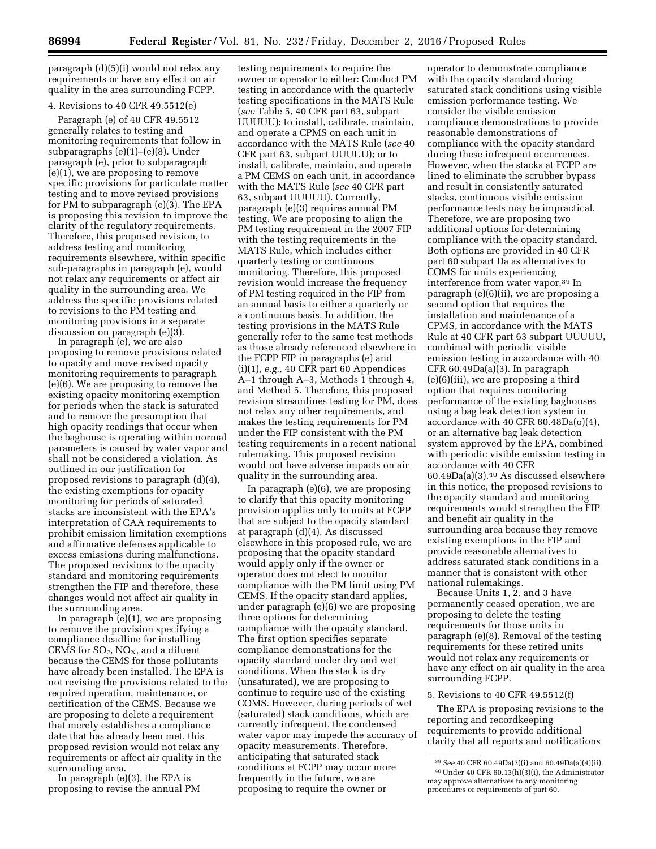paragraph (d)(5)(i) would not relax any requirements or have any effect on air quality in the area surrounding FCPP.

# 4. Revisions to 40 CFR 49.5512(e)

Paragraph (e) of 40 CFR 49.5512 generally relates to testing and monitoring requirements that follow in subparagraphs (e)(1)–(e)(8). Under paragraph (e), prior to subparagraph (e)(1), we are proposing to remove specific provisions for particulate matter testing and to move revised provisions for PM to subparagraph (e)(3). The EPA is proposing this revision to improve the clarity of the regulatory requirements. Therefore, this proposed revision, to address testing and monitoring requirements elsewhere, within specific sub-paragraphs in paragraph (e), would not relax any requirements or affect air quality in the surrounding area. We address the specific provisions related to revisions to the PM testing and monitoring provisions in a separate discussion on paragraph (e)(3).

In paragraph (e), we are also proposing to remove provisions related to opacity and move revised opacity monitoring requirements to paragraph (e)(6). We are proposing to remove the existing opacity monitoring exemption for periods when the stack is saturated and to remove the presumption that high opacity readings that occur when the baghouse is operating within normal parameters is caused by water vapor and shall not be considered a violation. As outlined in our justification for proposed revisions to paragraph (d)(4), the existing exemptions for opacity monitoring for periods of saturated stacks are inconsistent with the EPA's interpretation of CAA requirements to prohibit emission limitation exemptions and affirmative defenses applicable to excess emissions during malfunctions. The proposed revisions to the opacity standard and monitoring requirements strengthen the FIP and therefore, these changes would not affect air quality in the surrounding area.

In paragraph (e)(1), we are proposing to remove the provision specifying a compliance deadline for installing CEMS for  $SO_2$ ,  $NO_X$ , and a diluent because the CEMS for those pollutants have already been installed. The EPA is not revising the provisions related to the required operation, maintenance, or certification of the CEMS. Because we are proposing to delete a requirement that merely establishes a compliance date that has already been met, this proposed revision would not relax any requirements or affect air quality in the surrounding area.

In paragraph (e)(3), the EPA is proposing to revise the annual PM

testing requirements to require the owner or operator to either: Conduct PM testing in accordance with the quarterly testing specifications in the MATS Rule (*see* Table 5, 40 CFR part 63, subpart UUUUU); to install, calibrate, maintain, and operate a CPMS on each unit in accordance with the MATS Rule (*see* 40 CFR part 63, subpart UUUUU); or to install, calibrate, maintain, and operate a PM CEMS on each unit, in accordance with the MATS Rule (*see* 40 CFR part 63, subpart UUUUU). Currently, paragraph (e)(3) requires annual PM testing. We are proposing to align the PM testing requirement in the 2007 FIP with the testing requirements in the MATS Rule, which includes either quarterly testing or continuous monitoring. Therefore, this proposed revision would increase the frequency of PM testing required in the FIP from an annual basis to either a quarterly or a continuous basis. In addition, the testing provisions in the MATS Rule generally refer to the same test methods as those already referenced elsewhere in the FCPP FIP in paragraphs (e) and (i)(1), *e.g.,* 40 CFR part 60 Appendices A–1 through A–3, Methods 1 through 4, and Method 5. Therefore, this proposed revision streamlines testing for PM, does not relax any other requirements, and makes the testing requirements for PM under the FIP consistent with the PM testing requirements in a recent national rulemaking. This proposed revision would not have adverse impacts on air quality in the surrounding area.

In paragraph (e)(6), we are proposing to clarify that this opacity monitoring provision applies only to units at FCPP that are subject to the opacity standard at paragraph (d)(4). As discussed elsewhere in this proposed rule, we are proposing that the opacity standard would apply only if the owner or operator does not elect to monitor compliance with the PM limit using PM CEMS. If the opacity standard applies, under paragraph (e)(6) we are proposing three options for determining compliance with the opacity standard. The first option specifies separate compliance demonstrations for the opacity standard under dry and wet conditions. When the stack is dry (unsaturated), we are proposing to continue to require use of the existing COMS. However, during periods of wet (saturated) stack conditions, which are currently infrequent, the condensed water vapor may impede the accuracy of opacity measurements. Therefore, anticipating that saturated stack conditions at FCPP may occur more frequently in the future, we are proposing to require the owner or

operator to demonstrate compliance with the opacity standard during saturated stack conditions using visible emission performance testing. We consider the visible emission compliance demonstrations to provide reasonable demonstrations of compliance with the opacity standard during these infrequent occurrences. However, when the stacks at FCPP are lined to eliminate the scrubber bypass and result in consistently saturated stacks, continuous visible emission performance tests may be impractical. Therefore, we are proposing two additional options for determining compliance with the opacity standard. Both options are provided in 40 CFR part 60 subpart Da as alternatives to COMS for units experiencing interference from water vapor.39 In paragraph (e)(6)(ii), we are proposing a second option that requires the installation and maintenance of a CPMS, in accordance with the MATS Rule at 40 CFR part 63 subpart UUUUU, combined with periodic visible emission testing in accordance with 40 CFR 60.49Da(a)(3). In paragraph  $(e)(6)(iii)$ , we are proposing a third option that requires monitoring performance of the existing baghouses using a bag leak detection system in accordance with 40 CFR 60.48Da(o)(4), or an alternative bag leak detection system approved by the EPA, combined with periodic visible emission testing in accordance with 40 CFR 60.49Da(a)(3).40 As discussed elsewhere in this notice, the proposed revisions to the opacity standard and monitoring requirements would strengthen the FIP and benefit air quality in the surrounding area because they remove existing exemptions in the FIP and provide reasonable alternatives to address saturated stack conditions in a manner that is consistent with other national rulemakings.

Because Units 1, 2, and 3 have permanently ceased operation, we are proposing to delete the testing requirements for those units in paragraph (e)(8). Removal of the testing requirements for these retired units would not relax any requirements or have any effect on air quality in the area surrounding FCPP.

## 5. Revisions to 40 CFR 49.5512(f)

The EPA is proposing revisions to the reporting and recordkeeping requirements to provide additional clarity that all reports and notifications

<sup>39</sup>*See* 40 CFR 60.49Da(2)(i) and 60.49Da(a)(4)(ii). 40Under 40 CFR 60.13(h)(3)(i), the Administrator may approve alternatives to any monitoring procedures or requirements of part 60.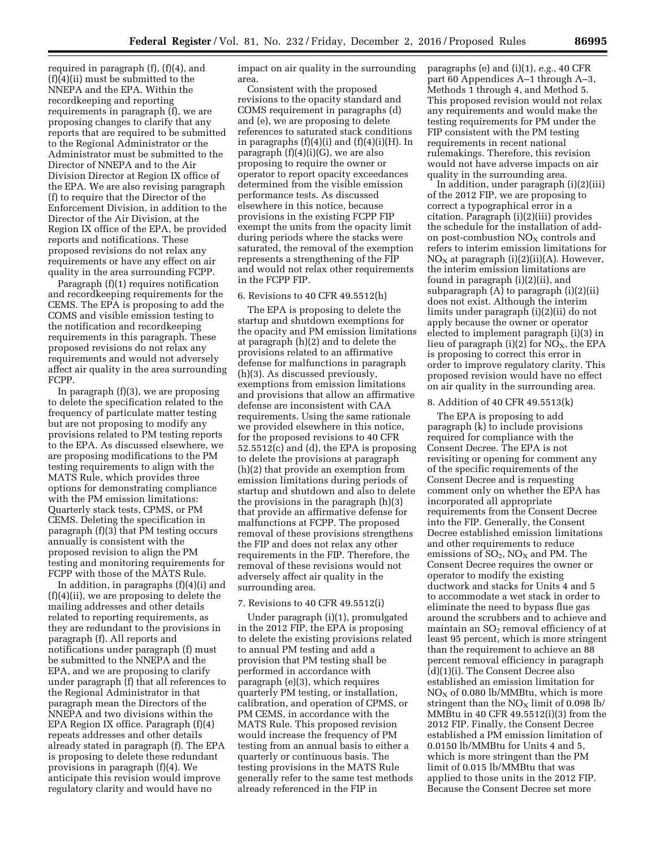required in paragraph (f), (f)(4), and  $(f)(4)(ii)$  must be submitted to the NNEPA and the EPA. Within the recordkeeping and reporting requirements in paragraph (f), we are proposing changes to clarify that any reports that are required to be submitted to the Regional Administrator or the Administrator must be submitted to the Director of NNEPA and to the Air Division Director at Region IX office of the EPA. We are also revising paragraph (f) to require that the Director of the Enforcement Division, in addition to the Director of the Air Division, at the Region IX office of the EPA, be provided reports and notifications. These proposed revisions do not relax any requirements or have any effect on air quality in the area surrounding FCPP.

Paragraph (f)(1) requires notification and recordkeeping requirements for the CEMS. The EPA is proposing to add the COMS and visible emission testing to the notification and recordkeeping requirements in this paragraph. These proposed revisions do not relax any requirements and would not adversely affect air quality in the area surrounding FCPP.

In paragraph (f)(3), we are proposing to delete the specification related to the frequency of particulate matter testing but are not proposing to modify any provisions related to PM testing reports to the EPA. As discussed elsewhere, we are proposing modifications to the PM testing requirements to align with the MATS Rule, which provides three options for demonstrating compliance with the PM emission limitations: Quarterly stack tests, CPMS, or PM CEMS. Deleting the specification in paragraph (f)(3) that PM testing occurs annually is consistent with the proposed revision to align the PM testing and monitoring requirements for FCPP with those of the MATS Rule.

In addition, in paragraphs (f)(4)(i) and (f)(4)(ii), we are proposing to delete the mailing addresses and other details related to reporting requirements, as they are redundant to the provisions in paragraph (f). All reports and notifications under paragraph (f) must be submitted to the NNEPA and the EPA, and we are proposing to clarify under paragraph (f) that all references to the Regional Administrator in that paragraph mean the Directors of the NNEPA and two divisions within the EPA Region IX office. Paragraph (f)(4) repeats addresses and other details already stated in paragraph (f). The EPA is proposing to delete these redundant provisions in paragraph (f)(4). We anticipate this revision would improve regulatory clarity and would have no

impact on air quality in the surrounding area.

Consistent with the proposed revisions to the opacity standard and COMS requirement in paragraphs (d) and (e), we are proposing to delete references to saturated stack conditions in paragraphs  $(f)(4)(i)$  and  $(f)(4)(i)(H)$ . In paragraph  $(f)(4)(i)(G)$ , we are also proposing to require the owner or operator to report opacity exceedances determined from the visible emission performance tests. As discussed elsewhere in this notice, because provisions in the existing FCPP FIP exempt the units from the opacity limit during periods where the stacks were saturated, the removal of the exemption represents a strengthening of the FIP and would not relax other requirements in the FCPP FIP.

#### 6. Revisions to 40 CFR 49.5512(h)

The EPA is proposing to delete the startup and shutdown exemptions for the opacity and PM emission limitations at paragraph (h)(2) and to delete the provisions related to an affirmative defense for malfunctions in paragraph (h)(3). As discussed previously, exemptions from emission limitations and provisions that allow an affirmative defense are inconsistent with CAA requirements. Using the same rationale we provided elsewhere in this notice, for the proposed revisions to 40 CFR 52.5512(c) and (d), the EPA is proposing to delete the provisions at paragraph (h)(2) that provide an exemption from emission limitations during periods of startup and shutdown and also to delete the provisions in the paragraph (h)(3) that provide an affirmative defense for malfunctions at FCPP. The proposed removal of these provisions strengthens the FIP and does not relax any other requirements in the FIP. Therefore, the removal of these revisions would not adversely affect air quality in the surrounding area.

#### 7. Revisions to 40 CFR 49.5512(i)

Under paragraph (i)(1), promulgated in the 2012 FIP, the EPA is proposing to delete the existing provisions related to annual PM testing and add a provision that PM testing shall be performed in accordance with paragraph (e)(3), which requires quarterly PM testing, or installation, calibration, and operation of CPMS, or PM CEMS, in accordance with the MATS Rule. This proposed revision would increase the frequency of PM testing from an annual basis to either a quarterly or continuous basis. The testing provisions in the MATS Rule generally refer to the same test methods already referenced in the FIP in

paragraphs (e) and (i)(1), *e.g.,* 40 CFR part 60 Appendices A–1 through A–3, Methods 1 through 4, and Method 5. This proposed revision would not relax any requirements and would make the testing requirements for PM under the FIP consistent with the PM testing requirements in recent national rulemakings. Therefore, this revision would not have adverse impacts on air quality in the surrounding area.

In addition, under paragraph (i)(2)(iii) of the 2012 FIP, we are proposing to correct a typographical error in a citation. Paragraph (i)(2)(iii) provides the schedule for the installation of addon post-combustion  $NO<sub>x</sub>$  controls and refers to interim emission limitations for  $NO<sub>X</sub>$  at paragraph (i)(2)(ii)(A). However, the interim emission limitations are found in paragraph (i)(2)(ii), and subparagraph  $(A)$  to paragraph  $(i)(2)(ii)$ does not exist. Although the interim limits under paragraph (i)(2)(ii) do not apply because the owner or operator elected to implement paragraph (i)(3) in lieu of paragraph (i)(2) for  $NO<sub>X</sub>$ , the EPA is proposing to correct this error in order to improve regulatory clarity. This proposed revision would have no effect on air quality in the surrounding area.

#### 8. Addition of 40 CFR 49.5513(k)

The EPA is proposing to add paragraph (k) to include provisions required for compliance with the Consent Decree. The EPA is not revisiting or opening for comment any of the specific requirements of the Consent Decree and is requesting comment only on whether the EPA has incorporated all appropriate requirements from the Consent Decree into the FIP. Generally, the Consent Decree established emission limitations and other requirements to reduce emissions of  $SO_2$ ,  $NO<sub>X</sub>$  and PM. The Consent Decree requires the owner or operator to modify the existing ductwork and stacks for Units 4 and 5 to accommodate a wet stack in order to eliminate the need to bypass flue gas around the scrubbers and to achieve and maintain an  $SO<sub>2</sub>$  removal efficiency of at least 95 percent, which is more stringent than the requirement to achieve an 88 percent removal efficiency in paragraph  $(d)(1)(i)$ . The Consent Decree also established an emission limitation for  $NO<sub>X</sub>$  of 0.080 lb/MMBtu, which is more stringent than the  $NO<sub>X</sub>$  limit of 0.098 lb/ MMBtu in 40 CFR 49.5512(i)(3) from the 2012 FIP. Finally, the Consent Decree established a PM emission limitation of 0.0150 lb/MMBtu for Units 4 and 5, which is more stringent than the PM limit of 0.015 lb/MMBtu that was applied to those units in the 2012 FIP. Because the Consent Decree set more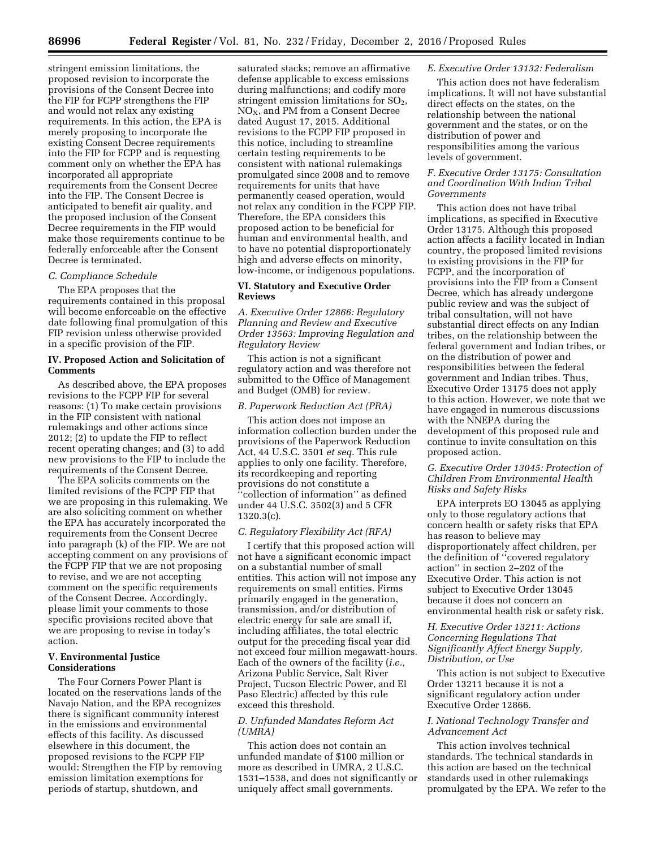stringent emission limitations, the proposed revision to incorporate the provisions of the Consent Decree into the FIP for FCPP strengthens the FIP and would not relax any existing requirements. In this action, the EPA is merely proposing to incorporate the existing Consent Decree requirements into the FIP for FCPP and is requesting comment only on whether the EPA has incorporated all appropriate requirements from the Consent Decree into the FIP. The Consent Decree is anticipated to benefit air quality, and the proposed inclusion of the Consent Decree requirements in the FIP would make those requirements continue to be federally enforceable after the Consent Decree is terminated.

# *C. Compliance Schedule*

The EPA proposes that the requirements contained in this proposal will become enforceable on the effective date following final promulgation of this FIP revision unless otherwise provided in a specific provision of the FIP.

# **IV. Proposed Action and Solicitation of Comments**

As described above, the EPA proposes revisions to the FCPP FIP for several reasons: (1) To make certain provisions in the FIP consistent with national rulemakings and other actions since 2012; (2) to update the FIP to reflect recent operating changes; and (3) to add new provisions to the FIP to include the requirements of the Consent Decree.

The EPA solicits comments on the limited revisions of the FCPP FIP that we are proposing in this rulemaking. We are also soliciting comment on whether the EPA has accurately incorporated the requirements from the Consent Decree into paragraph (k) of the FIP. We are not accepting comment on any provisions of the FCPP FIP that we are not proposing to revise, and we are not accepting comment on the specific requirements of the Consent Decree. Accordingly, please limit your comments to those specific provisions recited above that we are proposing to revise in today's action.

## **V. Environmental Justice Considerations**

The Four Corners Power Plant is located on the reservations lands of the Navajo Nation, and the EPA recognizes there is significant community interest in the emissions and environmental effects of this facility. As discussed elsewhere in this document, the proposed revisions to the FCPP FIP would: Strengthen the FIP by removing emission limitation exemptions for periods of startup, shutdown, and

saturated stacks; remove an affirmative defense applicable to excess emissions during malfunctions; and codify more stringent emission limitations for  $SO<sub>2</sub>$ , NOX, and PM from a Consent Decree dated August 17, 2015. Additional revisions to the FCPP FIP proposed in this notice, including to streamline certain testing requirements to be consistent with national rulemakings promulgated since 2008 and to remove requirements for units that have permanently ceased operation, would not relax any condition in the FCPP FIP. Therefore, the EPA considers this proposed action to be beneficial for human and environmental health, and to have no potential disproportionately high and adverse effects on minority, low-income, or indigenous populations.

# **VI. Statutory and Executive Order Reviews**

*A. Executive Order 12866: Regulatory Planning and Review and Executive Order 13563: Improving Regulation and Regulatory Review* 

This action is not a significant regulatory action and was therefore not submitted to the Office of Management and Budget (OMB) for review.

## *B. Paperwork Reduction Act (PRA)*

This action does not impose an information collection burden under the provisions of the Paperwork Reduction Act, 44 U.S.C. 3501 *et seq.* This rule applies to only one facility. Therefore, its recordkeeping and reporting provisions do not constitute a 'collection of information'' as defined under 44 U.S.C. 3502(3) and 5 CFR 1320.3(c).

# *C. Regulatory Flexibility Act (RFA)*

I certify that this proposed action will not have a significant economic impact on a substantial number of small entities. This action will not impose any requirements on small entities. Firms primarily engaged in the generation, transmission, and/or distribution of electric energy for sale are small if, including affiliates, the total electric output for the preceding fiscal year did not exceed four million megawatt-hours. Each of the owners of the facility (*i.e.,*  Arizona Public Service, Salt River Project, Tucson Electric Power, and El Paso Electric) affected by this rule exceed this threshold.

# *D. Unfunded Mandates Reform Act (UMRA)*

This action does not contain an unfunded mandate of \$100 million or more as described in UMRA, 2 U.S.C. 1531–1538, and does not significantly or uniquely affect small governments.

# *E. Executive Order 13132: Federalism*

This action does not have federalism implications. It will not have substantial direct effects on the states, on the relationship between the national government and the states, or on the distribution of power and responsibilities among the various levels of government.

## *F. Executive Order 13175: Consultation and Coordination With Indian Tribal Governments*

This action does not have tribal implications, as specified in Executive Order 13175. Although this proposed action affects a facility located in Indian country, the proposed limited revisions to existing provisions in the FIP for FCPP, and the incorporation of provisions into the FIP from a Consent Decree, which has already undergone public review and was the subject of tribal consultation, will not have substantial direct effects on any Indian tribes, on the relationship between the federal government and Indian tribes, or on the distribution of power and responsibilities between the federal government and Indian tribes. Thus, Executive Order 13175 does not apply to this action. However, we note that we have engaged in numerous discussions with the NNEPA during the development of this proposed rule and continue to invite consultation on this proposed action.

# *G. Executive Order 13045: Protection of Children From Environmental Health Risks and Safety Risks*

EPA interprets EO 13045 as applying only to those regulatory actions that concern health or safety risks that EPA has reason to believe may disproportionately affect children, per the definition of ''covered regulatory action'' in section 2–202 of the Executive Order. This action is not subject to Executive Order 13045 because it does not concern an environmental health risk or safety risk.

# *H. Executive Order 13211: Actions Concerning Regulations That Significantly Affect Energy Supply, Distribution, or Use*

This action is not subject to Executive Order 13211 because it is not a significant regulatory action under Executive Order 12866.

## *I. National Technology Transfer and Advancement Act*

This action involves technical standards. The technical standards in this action are based on the technical standards used in other rulemakings promulgated by the EPA. We refer to the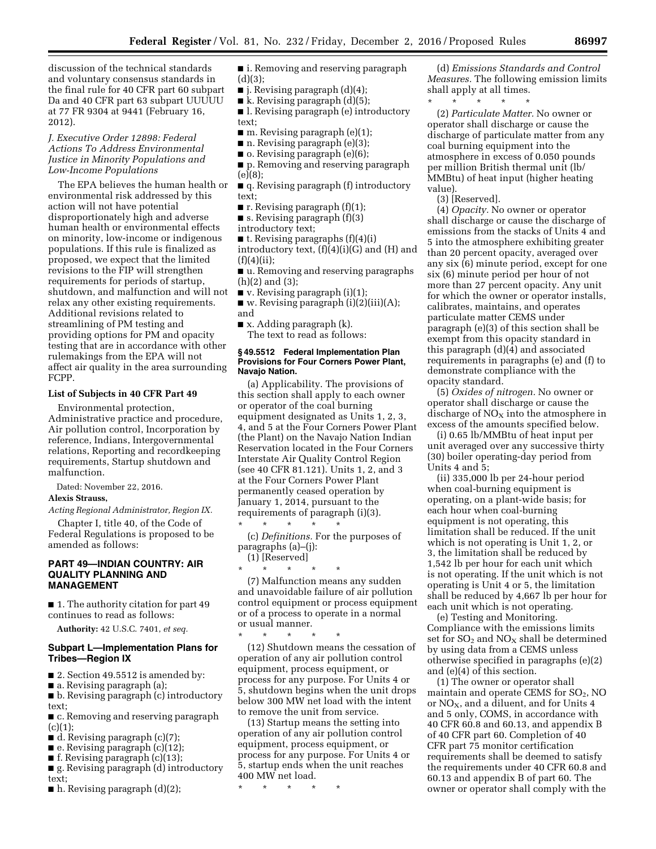discussion of the technical standards and voluntary consensus standards in the final rule for 40 CFR part 60 subpart Da and 40 CFR part 63 subpart UUUUU at 77 FR 9304 at 9441 (February 16, 2012).

# *J. Executive Order 12898: Federal Actions To Address Environmental Justice in Minority Populations and Low-Income Populations*

The EPA believes the human health or environmental risk addressed by this action will not have potential disproportionately high and adverse human health or environmental effects on minority, low-income or indigenous populations. If this rule is finalized as proposed, we expect that the limited revisions to the FIP will strengthen requirements for periods of startup, shutdown, and malfunction and will not relax any other existing requirements. Additional revisions related to streamlining of PM testing and providing options for PM and opacity testing that are in accordance with other rulemakings from the EPA will not affect air quality in the area surrounding FCPP.

## **List of Subjects in 40 CFR Part 49**

Environmental protection, Administrative practice and procedure, Air pollution control, Incorporation by reference, Indians, Intergovernmental relations, Reporting and recordkeeping requirements, Startup shutdown and malfunction.

Dated: November 22, 2016.

## **Alexis Strauss,**

*Acting Regional Administrator, Region IX.* 

Chapter I, title 40, of the Code of Federal Regulations is proposed to be amended as follows:

## **PART 49—INDIAN COUNTRY: AIR QUALITY PLANNING AND MANAGEMENT**

■ 1. The authority citation for part 49 continues to read as follows:

**Authority:** 42 U.S.C. 7401, *et seq.* 

### **Subpart L—Implementation Plans for Tribes—Region IX**

- $\blacksquare$  2. Section 49.5512 is amended by:
- a. Revising paragraph (a);

■ b. Revising paragraph (c) introductory text;

■ c. Removing and reserving paragraph  $(c)(1);$ 

- $\blacksquare$  d. Revising paragraph (c)(7);
- e. Revising paragraph (c)(12);
- $\blacksquare$  f. Revising paragraph (c)(13);

■ g. Revising paragraph (d) introductory text;

 $\blacksquare$  h. Revising paragraph  $(d)(2)$ ;

■ i. Removing and reserving paragraph (d)(3);

- $\blacksquare$  j. Revising paragraph  $(d)(4)$ ;
- $\blacksquare$  k. Revising paragraph  $(d)(5)$ ;

■ l. Revising paragraph (e) introductory text;

- $\blacksquare$  m. Revising paragraph (e)(1);
- n. Revising paragraph (e)(3);
- o. Revising paragraph (e)(6);
- p. Removing and reserving paragraph (e)(8);
- q. Revising paragraph (f) introductory text;
- $\blacksquare$  r. Revising paragraph  $(f)(1)$ ;
- s. Revising paragraph (f)(3)
- introductory text;

■ t. Revising paragraphs (f)(4)(i) introductory text,  $(f)(4)(i)(G)$  and  $(H)$  and  $(f)(4)(ii)$ :

■ u. Removing and reserving paragraphs (h)(2) and (3);

■ v. Revising paragraph (i)(1);

 $\blacksquare$  w. Revising paragraph (i)(2)(iii)(A); and

■ x. Adding paragraph (k). The text to read as follows:

**§ 49.5512 Federal Implementation Plan Provisions for Four Corners Power Plant, Navajo Nation.** 

(a) Applicability. The provisions of this section shall apply to each owner or operator of the coal burning equipment designated as Units 1, 2, 3, 4, and 5 at the Four Corners Power Plant (the Plant) on the Navajo Nation Indian Reservation located in the Four Corners Interstate Air Quality Control Region (see 40 CFR 81.121). Units 1, 2, and 3 at the Four Corners Power Plant permanently ceased operation by January 1, 2014, pursuant to the requirements of paragraph (i)(3). \* \* \* \* \*

(c) *Definitions.* For the purposes of paragraphs (a)–(j): (1) [Reserved]

\* \* \* \* \*

(7) Malfunction means any sudden and unavoidable failure of air pollution control equipment or process equipment or of a process to operate in a normal or usual manner.

\* \* \* \* \* (12) Shutdown means the cessation of operation of any air pollution control equipment, process equipment, or process for any purpose. For Units 4 or 5, shutdown begins when the unit drops below 300 MW net load with the intent to remove the unit from service.

(13) Startup means the setting into operation of any air pollution control equipment, process equipment, or process for any purpose. For Units 4 or 5, startup ends when the unit reaches 400 MW net load.

\* \* \* \* \*

(d) *Emissions Standards and Control Measures.* The following emission limits shall apply at all times.

\* \* \* \* \* (2) *Particulate Matter.* No owner or operator shall discharge or cause the discharge of particulate matter from any coal burning equipment into the atmosphere in excess of 0.050 pounds per million British thermal unit (lb/ MMBtu) of heat input (higher heating value).

(3) [Reserved].

(4) *Opacity.* No owner or operator shall discharge or cause the discharge of emissions from the stacks of Units 4 and 5 into the atmosphere exhibiting greater than 20 percent opacity, averaged over any six (6) minute period, except for one six (6) minute period per hour of not more than 27 percent opacity. Any unit for which the owner or operator installs, calibrates, maintains, and operates particulate matter CEMS under paragraph (e)(3) of this section shall be exempt from this opacity standard in this paragraph (d)(4) and associated requirements in paragraphs (e) and (f) to demonstrate compliance with the opacity standard.

(5) *Oxides of nitrogen.* No owner or operator shall discharge or cause the discharge of  $NO<sub>X</sub>$  into the atmosphere in excess of the amounts specified below.

(i) 0.65 lb/MMBtu of heat input per unit averaged over any successive thirty (30) boiler operating-day period from Units 4 and 5;

(ii) 335,000 lb per 24-hour period when coal-burning equipment is operating, on a plant-wide basis; for each hour when coal-burning equipment is not operating, this limitation shall be reduced. If the unit which is not operating is Unit 1, 2, or 3, the limitation shall be reduced by 1,542 lb per hour for each unit which is not operating. If the unit which is not operating is Unit 4 or 5, the limitation shall be reduced by 4,667 lb per hour for each unit which is not operating.

(e) Testing and Monitoring. Compliance with the emissions limits set for  $SO_2$  and  $NO_X$  shall be determined by using data from a CEMS unless otherwise specified in paragraphs (e)(2) and (e)(4) of this section.

(1) The owner or operator shall maintain and operate CEMS for  $SO<sub>2</sub>$ , NO or  $NO<sub>X</sub>$ , and a diluent, and for Units 4 and 5 only, COMS, in accordance with 40 CFR 60.8 and 60.13, and appendix B of 40 CFR part 60. Completion of 40 CFR part 75 monitor certification requirements shall be deemed to satisfy the requirements under 40 CFR 60.8 and 60.13 and appendix B of part 60. The owner or operator shall comply with the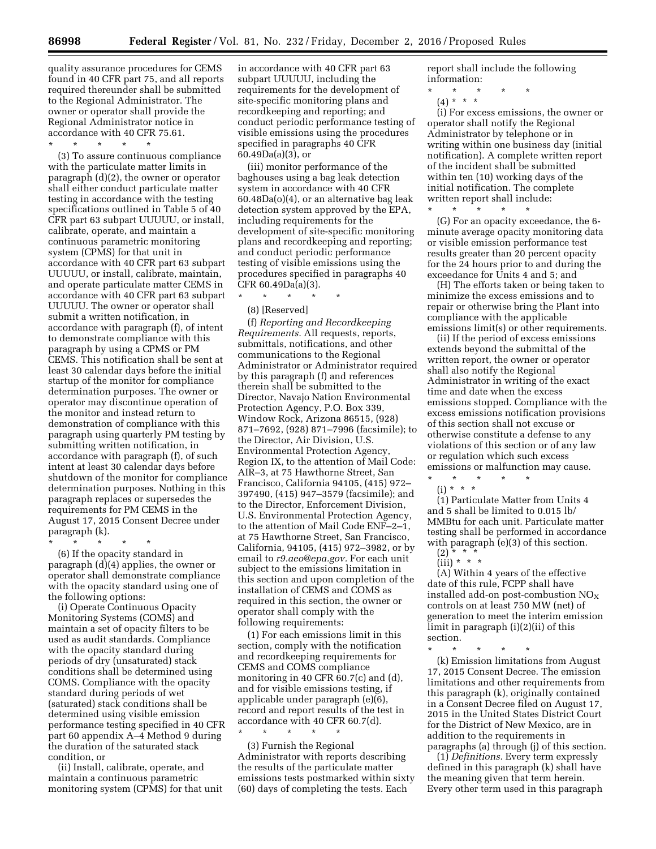quality assurance procedures for CEMS found in 40 CFR part 75, and all reports required thereunder shall be submitted to the Regional Administrator. The owner or operator shall provide the Regional Administrator notice in accordance with 40 CFR 75.61.

\* \* \* \* \*

(3) To assure continuous compliance with the particulate matter limits in paragraph (d)(2), the owner or operator shall either conduct particulate matter testing in accordance with the testing specifications outlined in Table 5 of 40 CFR part 63 subpart UUUUU, or install, calibrate, operate, and maintain a continuous parametric monitoring system (CPMS) for that unit in accordance with 40 CFR part 63 subpart UUUUU, or install, calibrate, maintain, and operate particulate matter CEMS in accordance with 40 CFR part 63 subpart UUUUU. The owner or operator shall submit a written notification, in accordance with paragraph (f), of intent to demonstrate compliance with this paragraph by using a CPMS or PM CEMS. This notification shall be sent at least 30 calendar days before the initial startup of the monitor for compliance determination purposes. The owner or operator may discontinue operation of the monitor and instead return to demonstration of compliance with this paragraph using quarterly PM testing by submitting written notification, in accordance with paragraph (f), of such intent at least 30 calendar days before shutdown of the monitor for compliance determination purposes. Nothing in this paragraph replaces or supersedes the requirements for PM CEMS in the August 17, 2015 Consent Decree under paragraph (k).

\* \* \* \* \*

(6) If the opacity standard in paragraph (d)(4) applies, the owner or operator shall demonstrate compliance with the opacity standard using one of the following options:

(i) Operate Continuous Opacity Monitoring Systems (COMS) and maintain a set of opacity filters to be used as audit standards. Compliance with the opacity standard during periods of dry (unsaturated) stack conditions shall be determined using COMS. Compliance with the opacity standard during periods of wet (saturated) stack conditions shall be determined using visible emission performance testing specified in 40 CFR part 60 appendix A–4 Method 9 during the duration of the saturated stack condition, or

(ii) Install, calibrate, operate, and maintain a continuous parametric monitoring system (CPMS) for that unit in accordance with 40 CFR part 63 subpart UUUUU, including the requirements for the development of site-specific monitoring plans and recordkeeping and reporting; and conduct periodic performance testing of visible emissions using the procedures specified in paragraphs 40 CFR 60.49Da(a)(3), or

(iii) monitor performance of the baghouses using a bag leak detection system in accordance with 40 CFR 60.48Da(o)(4), or an alternative bag leak detection system approved by the EPA, including requirements for the development of site-specific monitoring plans and recordkeeping and reporting; and conduct periodic performance testing of visible emissions using the procedures specified in paragraphs 40 CFR 60.49Da(a)(3).

\* \* \* \* \*

(8) [Reserved]

(f) *Reporting and Recordkeeping Requirements.* All requests, reports, submittals, notifications, and other communications to the Regional Administrator or Administrator required by this paragraph (f) and references therein shall be submitted to the Director, Navajo Nation Environmental Protection Agency, P.O. Box 339, Window Rock, Arizona 86515, (928) 871–7692, (928) 871–7996 (facsimile); to the Director, Air Division, U.S. Environmental Protection Agency, Region IX, to the attention of Mail Code: AIR–3, at 75 Hawthorne Street, San Francisco, California 94105, (415) 972– 397490, (415) 947–3579 (facsimile); and to the Director, Enforcement Division, U.S. Environmental Protection Agency, to the attention of Mail Code ENF–2–1, at 75 Hawthorne Street, San Francisco, California, 94105, (415) 972–3982, or by email to *r9.aeo@epa.gov.* For each unit subject to the emissions limitation in this section and upon completion of the installation of CEMS and COMS as required in this section, the owner or operator shall comply with the following requirements:

(1) For each emissions limit in this section, comply with the notification and recordkeeping requirements for CEMS and COMS compliance monitoring in 40 CFR 60.7(c) and (d), and for visible emissions testing, if applicable under paragraph (e)(6), record and report results of the test in accordance with 40 CFR 60.7(d).

\* \* \* \* \* (3) Furnish the Regional Administrator with reports describing the results of the particulate matter emissions tests postmarked within sixty (60) days of completing the tests. Each

report shall include the following information:

- \* \* \* \* \*
	- (4) \* \* \*

(i) For excess emissions, the owner or operator shall notify the Regional Administrator by telephone or in writing within one business day (initial notification). A complete written report of the incident shall be submitted within ten (10) working days of the initial notification. The complete written report shall include: \* \* \* \* \*

(G) For an opacity exceedance, the 6 minute average opacity monitoring data or visible emission performance test results greater than 20 percent opacity for the 24 hours prior to and during the exceedance for Units 4 and 5; and

(H) The efforts taken or being taken to minimize the excess emissions and to repair or otherwise bring the Plant into compliance with the applicable emissions limit(s) or other requirements.

(ii) If the period of excess emissions extends beyond the submittal of the written report, the owner or operator shall also notify the Regional Administrator in writing of the exact time and date when the excess emissions stopped. Compliance with the excess emissions notification provisions of this section shall not excuse or otherwise constitute a defense to any violations of this section or of any law or regulation which such excess emissions or malfunction may cause.  $\star$   $\star$ 

 $(i) * * * *$ 

(1) Particulate Matter from Units 4 and 5 shall be limited to 0.015 lb/ MMBtu for each unit. Particulate matter testing shall be performed in accordance with paragraph (e)(3) of this section.

(A) Within 4 years of the effective date of this rule, FCPP shall have installed add-on post-combustion  $\rm{NO_{X}}$ controls on at least 750 MW (net) of generation to meet the interim emission limit in paragraph (i)(2)(ii) of this section.

\* \* \* \* \* (k) Emission limitations from August 17, 2015 Consent Decree. The emission limitations and other requirements from this paragraph (k), originally contained in a Consent Decree filed on August 17, 2015 in the United States District Court for the District of New Mexico, are in addition to the requirements in paragraphs (a) through (j) of this section.

(1) *Definitions.* Every term expressly defined in this paragraph (k) shall have the meaning given that term herein. Every other term used in this paragraph

 $(2) * *^{\circ}$ 

 $(iii) * * * *$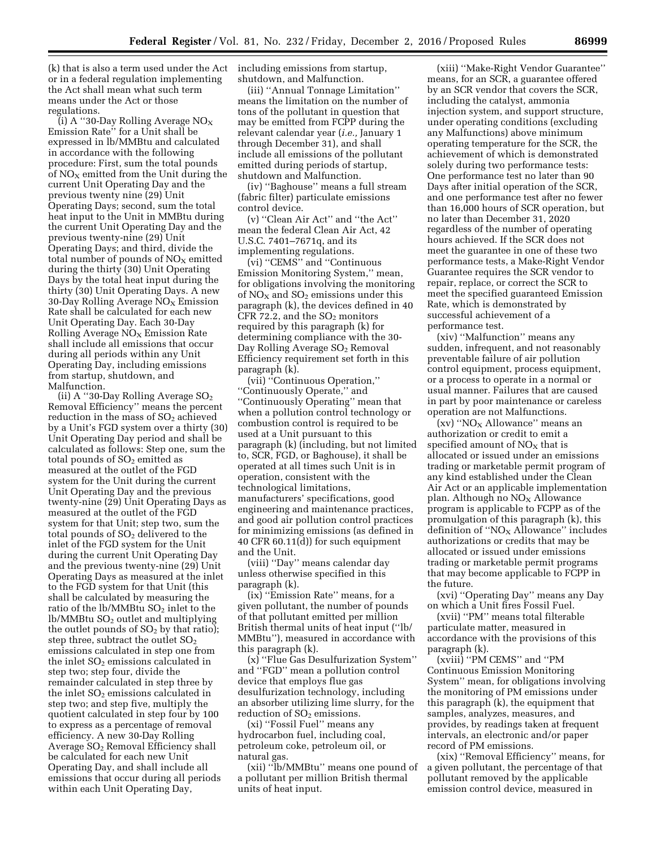(k) that is also a term used under the Act including emissions from startup, or in a federal regulation implementing the Act shall mean what such term means under the Act or those regulations.

(i) A "30-Day Rolling Average  $NO_X$ Emission Rate'' for a Unit shall be expressed in lb/MMBtu and calculated in accordance with the following procedure: First, sum the total pounds of  $NO<sub>X</sub>$  emitted from the Unit during the current Unit Operating Day and the previous twenty nine (29) Unit Operating Days; second, sum the total heat input to the Unit in MMBtu during the current Unit Operating Day and the previous twenty-nine (29) Unit Operating Days; and third, divide the total number of pounds of  $NO<sub>X</sub>$  emitted during the thirty (30) Unit Operating Days by the total heat input during the thirty (30) Unit Operating Days. A new 30-Day Rolling Average  $NO<sub>x</sub>$  Emission Rate shall be calculated for each new Unit Operating Day. Each 30-Day Rolling Average  $NO<sub>x</sub>$  Emission Rate shall include all emissions that occur during all periods within any Unit Operating Day, including emissions from startup, shutdown, and Malfunction.

(ii) A "30-Day Rolling Average  $SO_2$ Removal Efficiency'' means the percent reduction in the mass of  $SO<sub>2</sub>$  achieved by a Unit's FGD system over a thirty (30) Unit Operating Day period and shall be calculated as follows: Step one, sum the total pounds of  $SO<sub>2</sub>$  emitted as measured at the outlet of the FGD system for the Unit during the current Unit Operating Day and the previous twenty-nine (29) Unit Operating Days as measured at the outlet of the FGD system for that Unit; step two, sum the total pounds of  $SO<sub>2</sub>$  delivered to the inlet of the FGD system for the Unit during the current Unit Operating Day and the previous twenty-nine (29) Unit Operating Days as measured at the inlet to the FGD system for that Unit (this shall be calculated by measuring the ratio of the  $\rm lb/MM$ Btu  $\rm SO_2$  inlet to the  $lb/MM$ Btu  $SO<sub>2</sub>$  outlet and multiplying the outlet pounds of  $SO<sub>2</sub>$  by that ratio); step three, subtract the outlet  $SO<sub>2</sub>$ emissions calculated in step one from the inlet  $SO<sub>2</sub>$  emissions calculated in step two; step four, divide the remainder calculated in step three by the inlet  $SO<sub>2</sub>$  emissions calculated in step two; and step five, multiply the quotient calculated in step four by 100 to express as a percentage of removal efficiency. A new 30-Day Rolling Average SO2 Removal Efficiency shall be calculated for each new Unit Operating Day, and shall include all emissions that occur during all periods within each Unit Operating Day,

shutdown, and Malfunction.

(iii) ''Annual Tonnage Limitation'' means the limitation on the number of tons of the pollutant in question that may be emitted from FCPP during the relevant calendar year (*i.e.,* January 1 through December 31), and shall include all emissions of the pollutant emitted during periods of startup, shutdown and Malfunction.

(iv) ''Baghouse'' means a full stream (fabric filter) particulate emissions control device.

(v) ''Clean Air Act'' and ''the Act'' mean the federal Clean Air Act, 42 U.S.C. 7401–7671q, and its implementing regulations.

(vi) ''CEMS'' and ''Continuous Emission Monitoring System,'' mean, for obligations involving the monitoring of  $NO<sub>X</sub>$  and  $SO<sub>2</sub>$  emissions under this paragraph (k), the devices defined in 40 CFR 72.2, and the  $SO<sub>2</sub>$  monitors required by this paragraph (k) for determining compliance with the 30- Day Rolling Average SO<sub>2</sub> Removal Efficiency requirement set forth in this paragraph (k).

(vii) ''Continuous Operation,'' ''Continuously Operate,'' and ''Continuously Operating'' mean that when a pollution control technology or combustion control is required to be used at a Unit pursuant to this paragraph (k) (including, but not limited to, SCR, FGD, or Baghouse), it shall be operated at all times such Unit is in operation, consistent with the technological limitations, manufacturers' specifications, good engineering and maintenance practices, and good air pollution control practices for minimizing emissions (as defined in 40 CFR 60.11(d)) for such equipment and the Unit.

(viii) ''Day'' means calendar day unless otherwise specified in this paragraph (k).

(ix) ''Emission Rate'' means, for a given pollutant, the number of pounds of that pollutant emitted per million British thermal units of heat input (''lb/ MMBtu''), measured in accordance with this paragraph (k).

(x) ''Flue Gas Desulfurization System'' and ''FGD'' mean a pollution control device that employs flue gas desulfurization technology, including an absorber utilizing lime slurry, for the reduction of  $SO<sub>2</sub>$  emissions.

(xi) ''Fossil Fuel'' means any hydrocarbon fuel, including coal, petroleum coke, petroleum oil, or natural gas.

(xii) ''lb/MMBtu'' means one pound of a pollutant per million British thermal units of heat input.

(xiii) ''Make-Right Vendor Guarantee'' means, for an SCR, a guarantee offered by an SCR vendor that covers the SCR, including the catalyst, ammonia injection system, and support structure, under operating conditions (excluding any Malfunctions) above minimum operating temperature for the SCR, the achievement of which is demonstrated solely during two performance tests: One performance test no later than 90 Days after initial operation of the SCR, and one performance test after no fewer than 16,000 hours of SCR operation, but no later than December 31, 2020 regardless of the number of operating hours achieved. If the SCR does not meet the guarantee in one of these two performance tests, a Make-Right Vendor Guarantee requires the SCR vendor to repair, replace, or correct the SCR to meet the specified guaranteed Emission Rate, which is demonstrated by successful achievement of a performance test.

(xiv) ''Malfunction'' means any sudden, infrequent, and not reasonably preventable failure of air pollution control equipment, process equipment, or a process to operate in a normal or usual manner. Failures that are caused in part by poor maintenance or careless operation are not Malfunctions.

 $(xv)$  "NO<sub>X</sub> Allowance" means an authorization or credit to emit a specified amount of  $NO<sub>x</sub>$  that is allocated or issued under an emissions trading or marketable permit program of any kind established under the Clean Air Act or an applicable implementation plan. Although no  $NO<sub>X</sub>$  Allowance program is applicable to FCPP as of the promulgation of this paragraph (k), this definition of " $NO<sub>X</sub>$  Allowance" includes authorizations or credits that may be allocated or issued under emissions trading or marketable permit programs that may become applicable to FCPP in the future.

(xvi) ''Operating Day'' means any Day on which a Unit fires Fossil Fuel.

(xvii) ''PM'' means total filterable particulate matter, measured in accordance with the provisions of this paragraph (k).

(xviii) ''PM CEMS'' and ''PM Continuous Emission Monitoring System'' mean, for obligations involving the monitoring of PM emissions under this paragraph (k), the equipment that samples, analyzes, measures, and provides, by readings taken at frequent intervals, an electronic and/or paper record of PM emissions.

(xix) ''Removal Efficiency'' means, for a given pollutant, the percentage of that pollutant removed by the applicable emission control device, measured in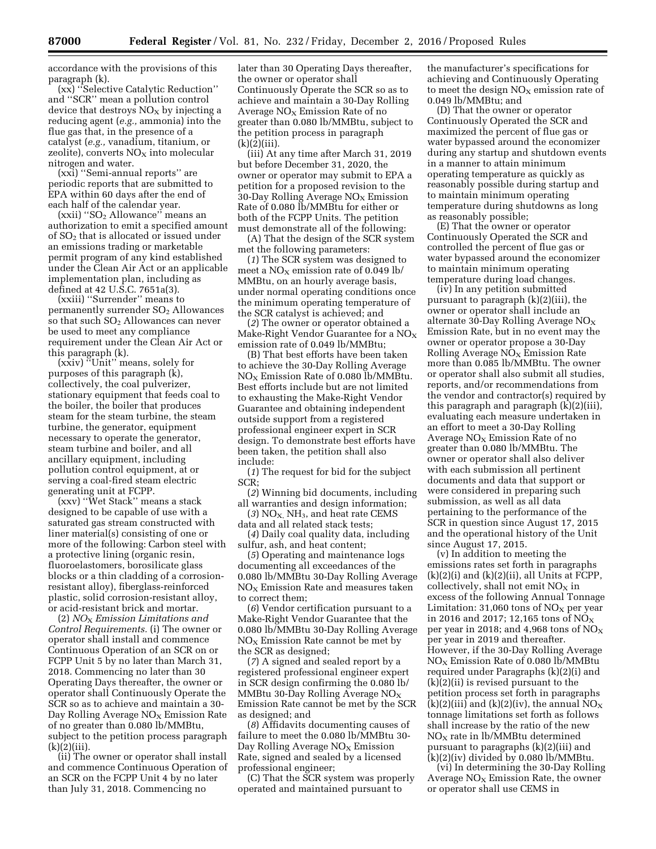accordance with the provisions of this paragraph (k).

(xx) ''Selective Catalytic Reduction'' and ''SCR'' mean a pollution control device that destroys  $NO<sub>x</sub>$  by injecting a reducing agent (*e.g.,* ammonia) into the flue gas that, in the presence of a catalyst (*e.g.,* vanadium, titanium, or zeolite), converts  $NO<sub>X</sub>$  into molecular nitrogen and water.

(xxi) ''Semi-annual reports'' are periodic reports that are submitted to EPA within 60 days after the end of each half of the calendar year.

(xxii) ''SO2 Allowance'' means an authorization to emit a specified amount of  $SO<sub>2</sub>$  that is allocated or issued under an emissions trading or marketable permit program of any kind established under the Clean Air Act or an applicable implementation plan, including as defined at 42 U.S.C. 7651a(3).

(xxiii) ''Surrender'' means to permanently surrender  $SO<sub>2</sub>$  Allowances so that such  $SO<sub>2</sub>$  Allowances can never be used to meet any compliance requirement under the Clean Air Act or this paragraph (k).

(xxiv) ''Unit'' means, solely for purposes of this paragraph (k), collectively, the coal pulverizer, stationary equipment that feeds coal to the boiler, the boiler that produces steam for the steam turbine, the steam turbine, the generator, equipment necessary to operate the generator, steam turbine and boiler, and all ancillary equipment, including pollution control equipment, at or serving a coal-fired steam electric generating unit at FCPP.

(xxv) ''Wet Stack'' means a stack designed to be capable of use with a saturated gas stream constructed with liner material(s) consisting of one or more of the following: Carbon steel with a protective lining (organic resin, fluoroelastomers, borosilicate glass blocks or a thin cladding of a corrosionresistant alloy), fiberglass-reinforced plastic, solid corrosion-resistant alloy, or acid-resistant brick and mortar.

(2) *NO*X *Emission Limitations and Control Requirements.* (i) The owner or operator shall install and commence Continuous Operation of an SCR on or FCPP Unit 5 by no later than March 31, 2018. Commencing no later than 30 Operating Days thereafter, the owner or operator shall Continuously Operate the SCR so as to achieve and maintain a 30- Day Rolling Average  $NO<sub>x</sub>$  Emission Rate of no greater than 0.080 lb/MMBtu, subject to the petition process paragraph  $(k)(2)(iii)$ .

(ii) The owner or operator shall install and commence Continuous Operation of an SCR on the FCPP Unit 4 by no later than July 31, 2018. Commencing no

later than 30 Operating Days thereafter, the owner or operator shall Continuously Operate the SCR so as to achieve and maintain a 30-Day Rolling Average  $NO<sub>x</sub>$  Emission Rate of no greater than 0.080 lb/MMBtu, subject to the petition process in paragraph  $(k)(2)(iii)$ .

(iii) At any time after March 31, 2019 but before December 31, 2020, the owner or operator may submit to EPA a petition for a proposed revision to the 30-Day Rolling Average  $NO<sub>X</sub>$  Emission Rate of 0.080 lb/MMBtu for either or both of the FCPP Units. The petition must demonstrate all of the following:

(A) That the design of the SCR system met the following parameters:

(*1*) The SCR system was designed to meet a  $NO<sub>X</sub>$  emission rate of 0.049 lb/ MMBtu, on an hourly average basis, under normal operating conditions once the minimum operating temperature of the SCR catalyst is achieved; and

(*2*) The owner or operator obtained a Make-Right Vendor Guarantee for a  $NO<sub>x</sub>$ emission rate of 0.049 lb/MMBtu;

(B) That best efforts have been taken to achieve the 30-Day Rolling Average  $NO<sub>x</sub>$  Emission Rate of 0.080 lb/MMBtu. Best efforts include but are not limited to exhausting the Make-Right Vendor Guarantee and obtaining independent outside support from a registered professional engineer expert in SCR design. To demonstrate best efforts have been taken, the petition shall also include:

(*1*) The request for bid for the subject SCR;

(*2*) Winning bid documents, including all warranties and design information;

 $(3)$  NO<sub>X,</sub> NH<sub>3</sub>, and heat rate CEMS data and all related stack tests;

(*4*) Daily coal quality data, including sulfur, ash, and heat content;

(*5*) Operating and maintenance logs documenting all exceedances of the 0.080 lb/MMBtu 30-Day Rolling Average  $NO<sub>x</sub>$  Emission Rate and measures taken to correct them;

(*6*) Vendor certification pursuant to a Make-Right Vendor Guarantee that the 0.080 lb/MMBtu 30-Day Rolling Average  $NO<sub>x</sub>$  Emission Rate cannot be met by the SCR as designed;

(*7*) A signed and sealed report by a registered professional engineer expert in SCR design confirming the 0.080 lb/ MMBtu 30-Day Rolling Average  $NO<sub>X</sub>$ Emission Rate cannot be met by the SCR as designed; and

(*8*) Affidavits documenting causes of failure to meet the 0.080 lb/MMBtu 30- Day Rolling Average  $NO<sub>x</sub>$  Emission Rate, signed and sealed by a licensed professional engineer;

(C) That the SCR system was properly operated and maintained pursuant to

the manufacturer's specifications for achieving and Continuously Operating to meet the design  $NO<sub>x</sub>$  emission rate of 0.049 lb/MMBtu; and

(D) That the owner or operator Continuously Operated the SCR and maximized the percent of flue gas or water bypassed around the economizer during any startup and shutdown events in a manner to attain minimum operating temperature as quickly as reasonably possible during startup and to maintain minimum operating temperature during shutdowns as long as reasonably possible;

(E) That the owner or operator Continuously Operated the SCR and controlled the percent of flue gas or water bypassed around the economizer to maintain minimum operating temperature during load changes.

(iv) In any petition submitted pursuant to paragraph (k)(2)(iii), the owner or operator shall include an alternate 30-Day Rolling Average  $NO<sub>X</sub>$ Emission Rate, but in no event may the owner or operator propose a 30-Day Rolling Average  $NO<sub>x</sub>$  Emission Rate more than 0.085 lb/MMBtu. The owner or operator shall also submit all studies, reports, and/or recommendations from the vendor and contractor(s) required by this paragraph and paragraph (k)(2)(iii), evaluating each measure undertaken in an effort to meet a 30-Day Rolling Average  $NO<sub>X</sub>$  Emission Rate of no greater than 0.080 lb/MMBtu. The owner or operator shall also deliver with each submission all pertinent documents and data that support or were considered in preparing such submission, as well as all data pertaining to the performance of the SCR in question since August 17, 2015 and the operational history of the Unit since August 17, 2015.

(v) In addition to meeting the emissions rates set forth in paragraphs  $(k)(2)(i)$  and  $(k)(2)(ii)$ , all Units at FCPP, collectively, shall not emit  $NO<sub>x</sub>$  in excess of the following Annual Tonnage Limitation: 31,060 tons of  $NO<sub>x</sub>$  per year in 2016 and 2017; 12,165 tons of  $NO_X$ per year in 2018; and 4,968 tons of  $NO<sub>x</sub>$ per year in 2019 and thereafter. However, if the 30-Day Rolling Average  $NO<sub>x</sub>$  Emission Rate of 0.080 lb/MMBtu required under Paragraphs (k)(2)(i) and  $(k)(2)(ii)$  is revised pursuant to the petition process set forth in paragraphs  $(k)(2)(iii)$  and  $(k)(2)(iv)$ , the annual NO<sub>X</sub> tonnage limitations set forth as follows shall increase by the ratio of the new  $NO<sub>X</sub>$  rate in lb/MMBtu determined pursuant to paragraphs (k)(2)(iii) and (k)(2)(iv) divided by 0.080 lb/MMBtu.

(vi) In determining the 30-Day Rolling Average  $NO<sub>x</sub>$  Emission Rate, the owner or operator shall use CEMS in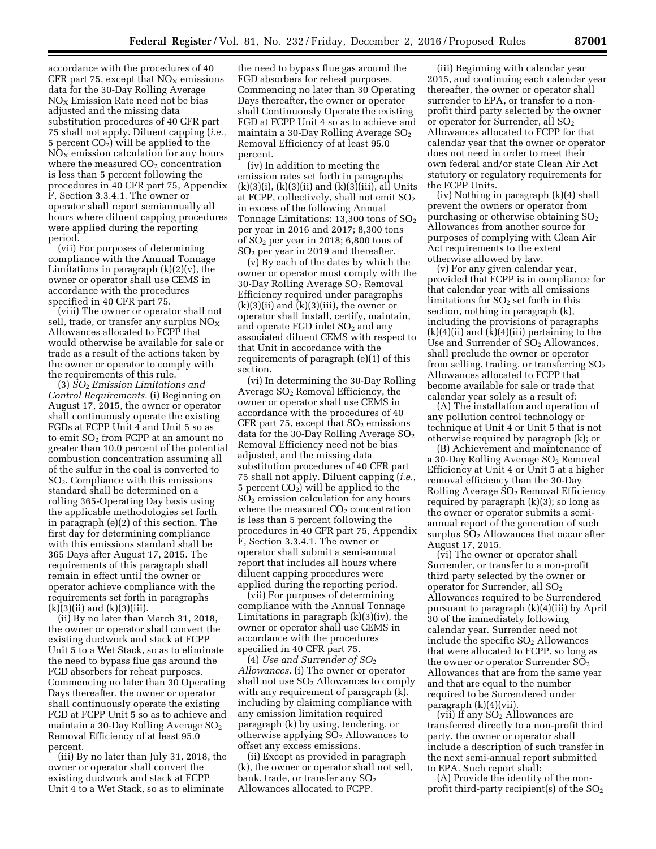accordance with the procedures of 40 CFR part 75, except that  $NO<sub>X</sub>$  emissions data for the 30-Day Rolling Average  $NO<sub>x</sub>$  Emission Rate need not be bias adjusted and the missing data substitution procedures of 40 CFR part 75 shall not apply. Diluent capping (*i.e.,*  5 percent  $CO<sub>2</sub>$ ) will be applied to the  $NO<sub>x</sub>$  emission calculation for any hours where the measured  $CO<sub>2</sub>$  concentration is less than 5 percent following the procedures in 40 CFR part 75, Appendix F, Section 3.3.4.1. The owner or operator shall report semiannually all hours where diluent capping procedures were applied during the reporting period.

(vii) For purposes of determining compliance with the Annual Tonnage Limitations in paragraph  $(k)(2)(v)$ , the owner or operator shall use CEMS in accordance with the procedures specified in 40 CFR part 75.

(viii) The owner or operator shall not sell, trade, or transfer any surplus  $NO<sub>X</sub>$ Allowances allocated to FCPP that would otherwise be available for sale or trade as a result of the actions taken by the owner or operator to comply with the requirements of this rule.

(3) *SO*2 *Emission Limitations and Control Requirements.* (i) Beginning on August 17, 2015, the owner or operator shall continuously operate the existing FGDs at FCPP Unit 4 and Unit 5 so as to emit  $SO<sub>2</sub>$  from FCPP at an amount no greater than 10.0 percent of the potential combustion concentration assuming all of the sulfur in the coal is converted to SO2. Compliance with this emissions standard shall be determined on a rolling 365-Operating Day basis using the applicable methodologies set forth in paragraph (e)(2) of this section. The first day for determining compliance with this emissions standard shall be 365 Days after August 17, 2015. The requirements of this paragraph shall remain in effect until the owner or operator achieve compliance with the requirements set forth in paragraphs  $(k)(3)(ii)$  and  $(k)(3)(iii)$ .

(ii) By no later than March 31, 2018, the owner or operator shall convert the existing ductwork and stack at FCPP Unit 5 to a Wet Stack, so as to eliminate the need to bypass flue gas around the FGD absorbers for reheat purposes. Commencing no later than 30 Operating Days thereafter, the owner or operator shall continuously operate the existing FGD at FCPP Unit 5 so as to achieve and maintain a 30-Day Rolling Average  $SO<sub>2</sub>$ Removal Efficiency of at least 95.0 percent.

(iii) By no later than July 31, 2018, the owner or operator shall convert the existing ductwork and stack at FCPP Unit 4 to a Wet Stack, so as to eliminate

the need to bypass flue gas around the FGD absorbers for reheat purposes. Commencing no later than 30 Operating Days thereafter, the owner or operator shall Continuously Operate the existing FGD at FCPP Unit 4 so as to achieve and maintain a 30-Day Rolling Average SO<sub>2</sub> Removal Efficiency of at least 95.0 percent.

(iv) In addition to meeting the emission rates set forth in paragraphs  $(k)(3)(i)$ ,  $(k)(3)(ii)$  and  $(k)(3)(iii)$ , all Units at FCPP, collectively, shall not emit  $SO<sub>2</sub>$ in excess of the following Annual Tonnage Limitations:  $13,300$  tons of  $SO<sub>2</sub>$ per year in 2016 and 2017; 8,300 tons of  $SO<sub>2</sub>$  per year in 2018; 6,800 tons of  $SO<sub>2</sub>$  per year in 2019 and thereafter.

(v) By each of the dates by which the owner or operator must comply with the 30-Day Rolling Average SO<sub>2</sub> Removal Efficiency required under paragraphs  $(k)(3)(ii)$  and  $(k)(3)(iii)$ , the owner or operator shall install, certify, maintain, and operate FGD inlet  $SO<sub>2</sub>$  and any associated diluent CEMS with respect to that Unit in accordance with the requirements of paragraph (e)(1) of this section.

(vi) In determining the 30-Day Rolling Average SO2 Removal Efficiency, the owner or operator shall use CEMS in accordance with the procedures of 40 CFR part 75, except that  $SO<sub>2</sub>$  emissions data for the 30-Day Rolling Average  $SO<sub>2</sub>$ Removal Efficiency need not be bias adjusted, and the missing data substitution procedures of 40 CFR part 75 shall not apply. Diluent capping (*i.e.,*  5 percent  $CO<sub>2</sub>$ ) will be applied to the  $SO<sub>2</sub>$  emission calculation for any hours where the measured  $CO<sub>2</sub>$  concentration is less than 5 percent following the procedures in 40 CFR part 75, Appendix F, Section 3.3.4.1. The owner or operator shall submit a semi-annual report that includes all hours where diluent capping procedures were applied during the reporting period.

(vii) For purposes of determining compliance with the Annual Tonnage Limitations in paragraph  $(k)(3)(iv)$ , the owner or operator shall use CEMS in accordance with the procedures specified in 40 CFR part 75.

(4) *Use and Surrender of SO2 Allowances.* (i) The owner or operator shall not use  $SO<sub>2</sub>$  Allowances to comply with any requirement of paragraph (k), including by claiming compliance with any emission limitation required paragraph (k) by using, tendering, or otherwise applying  $SO<sub>2</sub>$  Allowances to offset any excess emissions.

(ii) Except as provided in paragraph (k), the owner or operator shall not sell, bank, trade, or transfer any  $SO<sub>2</sub>$ Allowances allocated to FCPP.

(iii) Beginning with calendar year 2015, and continuing each calendar year thereafter, the owner or operator shall surrender to EPA, or transfer to a nonprofit third party selected by the owner or operator for Surrender, all SO<sub>2</sub> Allowances allocated to FCPP for that calendar year that the owner or operator does not need in order to meet their own federal and/or state Clean Air Act statutory or regulatory requirements for the FCPP Units.

(iv) Nothing in paragraph (k)(4) shall prevent the owners or operator from purchasing or otherwise obtaining  $SO<sub>2</sub>$ Allowances from another source for purposes of complying with Clean Air Act requirements to the extent otherwise allowed by law.

(v) For any given calendar year, provided that FCPP is in compliance for that calendar year with all emissions limitations for  $SO<sub>2</sub>$  set forth in this section, nothing in paragraph (k), including the provisions of paragraphs  $(k)(4)(ii)$  and  $(k)(4)(iii)$  pertaining to the Use and Surrender of  $SO<sub>2</sub>$  Allowances, shall preclude the owner or operator from selling, trading, or transferring  $SO<sub>2</sub>$ Allowances allocated to FCPP that become available for sale or trade that calendar year solely as a result of:

(A) The installation and operation of any pollution control technology or technique at Unit 4 or Unit 5 that is not otherwise required by paragraph (k); or

(B) Achievement and maintenance of a 30-Day Rolling Average SO<sub>2</sub> Removal Efficiency at Unit 4 or Unit 5 at a higher removal efficiency than the 30-Day Rolling Average SO2 Removal Efficiency required by paragraph (k)(3); so long as the owner or operator submits a semiannual report of the generation of such surplus  $SO<sub>2</sub>$  Allowances that occur after August 17, 2015.

(vi) The owner or operator shall Surrender, or transfer to a non-profit third party selected by the owner or operator for Surrender, all SO<sub>2</sub> Allowances required to be Surrendered pursuant to paragraph (k)(4)(iii) by April 30 of the immediately following calendar year. Surrender need not include the specific SO2 Allowances that were allocated to FCPP, so long as the owner or operator Surrender  $SO<sub>2</sub>$ Allowances that are from the same year and that are equal to the number required to be Surrendered under paragraph (k)(4)(vii).

(vii) If any  $SO<sub>2</sub>$  Allowances are transferred directly to a non-profit third party, the owner or operator shall include a description of such transfer in the next semi-annual report submitted to EPA. Such report shall:

(A) Provide the identity of the nonprofit third-party recipient(s) of the  $SO<sub>2</sub>$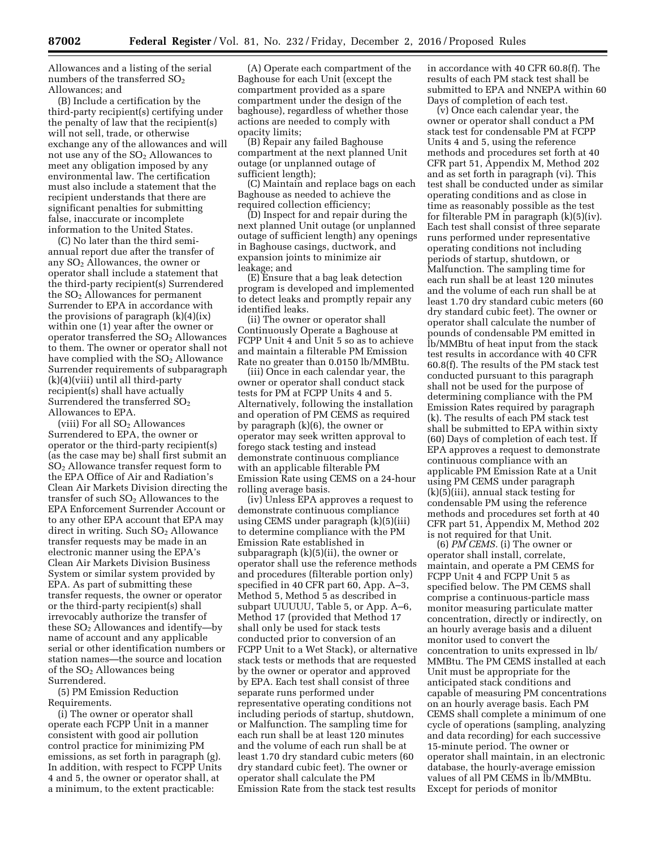Allowances and a listing of the serial numbers of the transferred  $SO<sub>2</sub>$ Allowances; and

(B) Include a certification by the third-party recipient(s) certifying under the penalty of law that the recipient(s) will not sell, trade, or otherwise exchange any of the allowances and will not use any of the  $SO<sub>2</sub>$  Allowances to meet any obligation imposed by any environmental law. The certification must also include a statement that the recipient understands that there are significant penalties for submitting false, inaccurate or incomplete information to the United States.

(C) No later than the third semiannual report due after the transfer of any SO2 Allowances, the owner or operator shall include a statement that the third-party recipient(s) Surrendered the  $SO<sub>2</sub>$  Allowances for permanent Surrender to EPA in accordance with the provisions of paragraph  $(k)(4)(ix)$ within one (1) year after the owner or operator transferred the  $SO<sub>2</sub>$  Allowances to them. The owner or operator shall not have complied with the  $SO<sub>2</sub>$  Allowance Surrender requirements of subparagraph (k)(4)(viii) until all third-party recipient(s) shall have actually Surrendered the transferred  $SO<sub>2</sub>$ Allowances to EPA.

(viii) For all  $SO<sub>2</sub>$  Allowances Surrendered to EPA, the owner or operator or the third-party recipient(s) (as the case may be) shall first submit an SO2 Allowance transfer request form to the EPA Office of Air and Radiation's Clean Air Markets Division directing the transfer of such SO2 Allowances to the EPA Enforcement Surrender Account or to any other EPA account that EPA may direct in writing. Such  $SO<sub>2</sub>$  Allowance transfer requests may be made in an electronic manner using the EPA's Clean Air Markets Division Business System or similar system provided by EPA. As part of submitting these transfer requests, the owner or operator or the third-party recipient(s) shall irrevocably authorize the transfer of these  $SO<sub>2</sub>$  Allowances and identify—by name of account and any applicable serial or other identification numbers or station names—the source and location of the  $SO<sub>2</sub>$  Allowances being Surrendered.

(5) PM Emission Reduction Requirements.

(i) The owner or operator shall operate each FCPP Unit in a manner consistent with good air pollution control practice for minimizing PM emissions, as set forth in paragraph (g). In addition, with respect to FCPP Units 4 and 5, the owner or operator shall, at a minimum, to the extent practicable:

(A) Operate each compartment of the Baghouse for each Unit (except the compartment provided as a spare compartment under the design of the baghouse), regardless of whether those actions are needed to comply with opacity limits;

(B) Repair any failed Baghouse compartment at the next planned Unit outage (or unplanned outage of sufficient length);

(C) Maintain and replace bags on each Baghouse as needed to achieve the required collection efficiency;

(D) Inspect for and repair during the next planned Unit outage (or unplanned outage of sufficient length) any openings in Baghouse casings, ductwork, and expansion joints to minimize air leakage; and

(E) Ensure that a bag leak detection program is developed and implemented to detect leaks and promptly repair any identified leaks.

(ii) The owner or operator shall Continuously Operate a Baghouse at FCPP Unit 4 and Unit 5 so as to achieve and maintain a filterable PM Emission Rate no greater than 0.0150 lb/MMBtu.

(iii) Once in each calendar year, the owner or operator shall conduct stack tests for PM at FCPP Units 4 and 5. Alternatively, following the installation and operation of PM CEMS as required by paragraph (k)(6), the owner or operator may seek written approval to forego stack testing and instead demonstrate continuous compliance with an applicable filterable PM Emission Rate using CEMS on a 24-hour rolling average basis.

(iv) Unless EPA approves a request to demonstrate continuous compliance using CEMS under paragraph (k)(5)(iii) to determine compliance with the PM Emission Rate established in subparagraph (k)(5)(ii), the owner or operator shall use the reference methods and procedures (filterable portion only) specified in 40 CFR part 60, App. A–3, Method 5, Method 5 as described in subpart UUUUU, Table 5, or App. A–6, Method 17 (provided that Method 17 shall only be used for stack tests conducted prior to conversion of an FCPP Unit to a Wet Stack), or alternative stack tests or methods that are requested by the owner or operator and approved by EPA. Each test shall consist of three separate runs performed under representative operating conditions not including periods of startup, shutdown, or Malfunction. The sampling time for each run shall be at least 120 minutes and the volume of each run shall be at least 1.70 dry standard cubic meters (60 dry standard cubic feet). The owner or operator shall calculate the PM Emission Rate from the stack test results

in accordance with 40 CFR 60.8(f). The results of each PM stack test shall be submitted to EPA and NNEPA within 60 Days of completion of each test.

(v) Once each calendar year, the owner or operator shall conduct a PM stack test for condensable PM at FCPP Units 4 and 5, using the reference methods and procedures set forth at 40 CFR part 51, Appendix M, Method 202 and as set forth in paragraph (vi). This test shall be conducted under as similar operating conditions and as close in time as reasonably possible as the test for filterable PM in paragraph (k)(5)(iv). Each test shall consist of three separate runs performed under representative operating conditions not including periods of startup, shutdown, or Malfunction. The sampling time for each run shall be at least 120 minutes and the volume of each run shall be at least 1.70 dry standard cubic meters (60 dry standard cubic feet). The owner or operator shall calculate the number of pounds of condensable PM emitted in lb/MMBtu of heat input from the stack test results in accordance with 40 CFR 60.8(f). The results of the PM stack test conducted pursuant to this paragraph shall not be used for the purpose of determining compliance with the PM Emission Rates required by paragraph (k). The results of each PM stack test shall be submitted to EPA within sixty (60) Days of completion of each test. If EPA approves a request to demonstrate continuous compliance with an applicable PM Emission Rate at a Unit using PM CEMS under paragraph (k)(5)(iii), annual stack testing for condensable PM using the reference methods and procedures set forth at 40 CFR part 51, Appendix M, Method 202 is not required for that Unit.

(6) *PM CEMS.* (i) The owner or operator shall install, correlate, maintain, and operate a PM CEMS for FCPP Unit 4 and FCPP Unit 5 as specified below. The PM CEMS shall comprise a continuous-particle mass monitor measuring particulate matter concentration, directly or indirectly, on an hourly average basis and a diluent monitor used to convert the concentration to units expressed in lb/ MMBtu. The PM CEMS installed at each Unit must be appropriate for the anticipated stack conditions and capable of measuring PM concentrations on an hourly average basis. Each PM CEMS shall complete a minimum of one cycle of operations (sampling, analyzing and data recording) for each successive 15-minute period. The owner or operator shall maintain, in an electronic database, the hourly-average emission values of all PM CEMS in lb/MMBtu. Except for periods of monitor